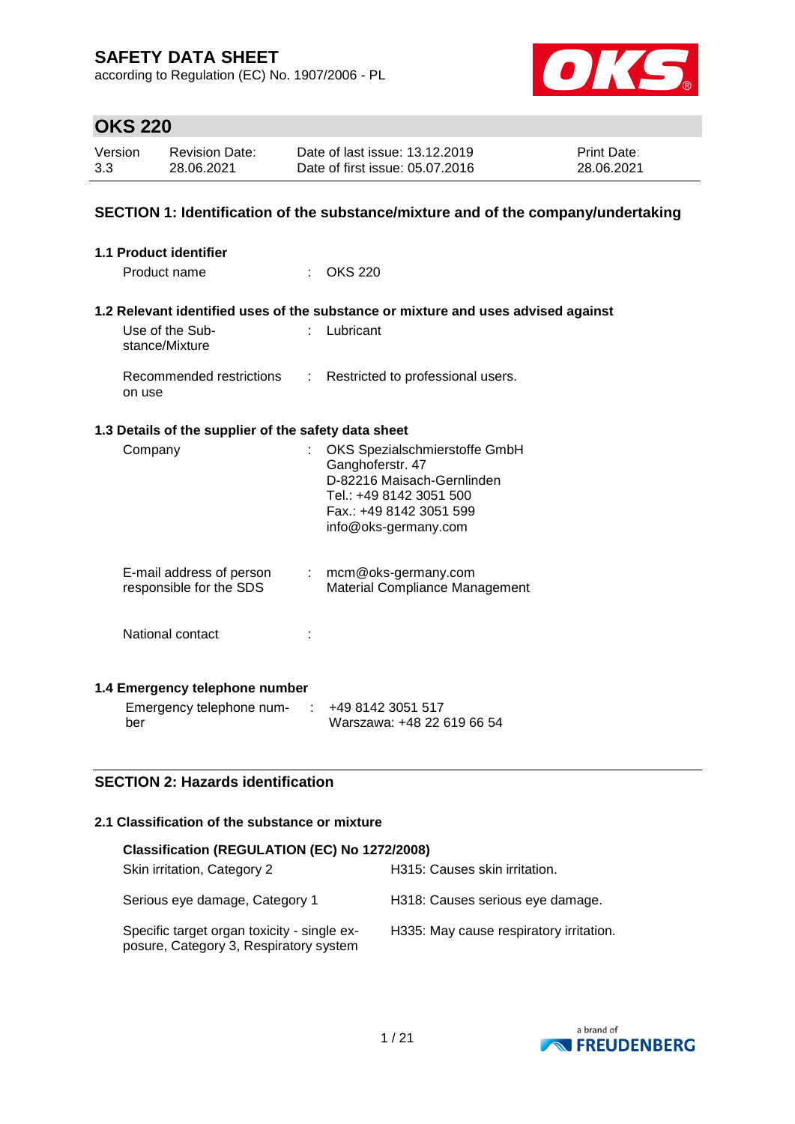according to Regulation (EC) No. 1907/2006 - PL



# **OKS 220**

| Version | <b>Revision Date:</b> | Date of last issue: 13.12.2019  | <b>Print Date:</b> |
|---------|-----------------------|---------------------------------|--------------------|
| 3.3     | 28.06.2021            | Date of first issue: 05.07.2016 | 28.06.2021         |

### **SECTION 1: Identification of the substance/mixture and of the company/undertaking**

| 1.1 Product identifier                               |                            |                                                                                                                                                               |
|------------------------------------------------------|----------------------------|---------------------------------------------------------------------------------------------------------------------------------------------------------------|
| Product name                                         | $\mathcal{F}(\mathcal{A})$ | <b>OKS 220</b>                                                                                                                                                |
|                                                      |                            |                                                                                                                                                               |
|                                                      |                            | 1.2 Relevant identified uses of the substance or mixture and uses advised against                                                                             |
| Use of the Sub-<br>stance/Mixture                    | t.                         | Lubricant                                                                                                                                                     |
| Recommended restrictions<br>on use                   | ÷.                         | Restricted to professional users.                                                                                                                             |
| 1.3 Details of the supplier of the safety data sheet |                            |                                                                                                                                                               |
| Company                                              |                            | OKS Spezialschmierstoffe GmbH<br>Ganghoferstr. 47<br>D-82216 Maisach-Gernlinden<br>Tel.: +49 8142 3051 500<br>Fax.: +49 8142 3051 599<br>info@oks-germany.com |
| E-mail address of person<br>responsible for the SDS  |                            | $:$ mcm@oks-germany.com<br>Material Compliance Management                                                                                                     |
| National contact                                     |                            |                                                                                                                                                               |
| 1.4 Emergency telephone number                       |                            |                                                                                                                                                               |
| Emergency telephone num-<br>ber                      |                            | +49 8142 3051 517<br>Warszawa: +48 22 619 66 54                                                                                                               |

### **SECTION 2: Hazards identification**

### **2.1 Classification of the substance or mixture**

| Classification (REGULATION (EC) No 1272/2008)                                         |                                         |
|---------------------------------------------------------------------------------------|-----------------------------------------|
| Skin irritation, Category 2                                                           | H315: Causes skin irritation.           |
| Serious eye damage, Category 1                                                        | H318: Causes serious eye damage.        |
| Specific target organ toxicity - single ex-<br>posure, Category 3, Respiratory system | H335: May cause respiratory irritation. |

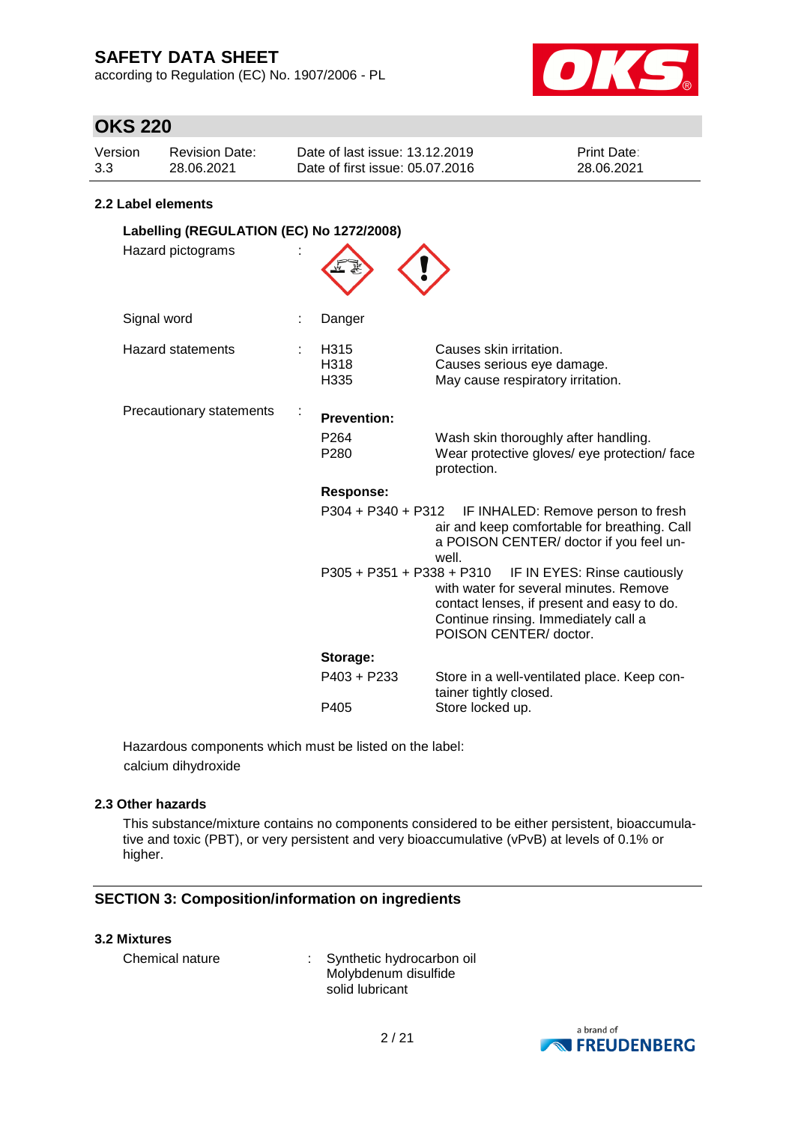according to Regulation (EC) No. 1907/2006 - PL



## **OKS 220**

| Version | Revision Date: | Date of last issue: 13.12.2019  | <b>Print Date:</b> |
|---------|----------------|---------------------------------|--------------------|
| 3.3     | 28.06.2021     | Date of first issue: 05.07.2016 | 28.06.2021         |

### **2.2 Label elements**

| Labelling (REGULATION (EC) No 1272/2008) |  |                             |                                                                                                                                                                                        |  |
|------------------------------------------|--|-----------------------------|----------------------------------------------------------------------------------------------------------------------------------------------------------------------------------------|--|
| Hazard pictograms                        |  |                             |                                                                                                                                                                                        |  |
| Signal word                              |  | Danger                      |                                                                                                                                                                                        |  |
| <b>Hazard statements</b>                 |  | H315<br>H318<br>H335        | Causes skin irritation.<br>Causes serious eye damage.<br>May cause respiratory irritation.                                                                                             |  |
| Precautionary statements                 |  | <b>Prevention:</b>          |                                                                                                                                                                                        |  |
|                                          |  | P <sub>264</sub><br>P280    | Wash skin thoroughly after handling.<br>Wear protective gloves/ eye protection/ face<br>protection.                                                                                    |  |
|                                          |  | <b>Response:</b>            |                                                                                                                                                                                        |  |
|                                          |  | P304 + P340 + P312          | IF INHALED: Remove person to fresh<br>air and keep comfortable for breathing. Call<br>a POISON CENTER/ doctor if you feel un-<br>well.                                                 |  |
|                                          |  | $P305 + P351 + P338 + P310$ | IF IN EYES: Rinse cautiously<br>with water for several minutes. Remove<br>contact lenses, if present and easy to do.<br>Continue rinsing. Immediately call a<br>POISON CENTER/ doctor. |  |
|                                          |  | Storage:                    |                                                                                                                                                                                        |  |
|                                          |  | P403 + P233                 | Store in a well-ventilated place. Keep con-<br>tainer tightly closed.                                                                                                                  |  |
|                                          |  | P405                        | Store locked up.                                                                                                                                                                       |  |

Hazardous components which must be listed on the label: calcium dihydroxide

### **2.3 Other hazards**

This substance/mixture contains no components considered to be either persistent, bioaccumulative and toxic (PBT), or very persistent and very bioaccumulative (vPvB) at levels of 0.1% or higher.

### **SECTION 3: Composition/information on ingredients**

#### **3.2 Mixtures**

| Chemical nature | Synthetic hydrocarbon oil |
|-----------------|---------------------------|
|                 | Molybdenum disulfide      |
|                 | solid lubricant           |

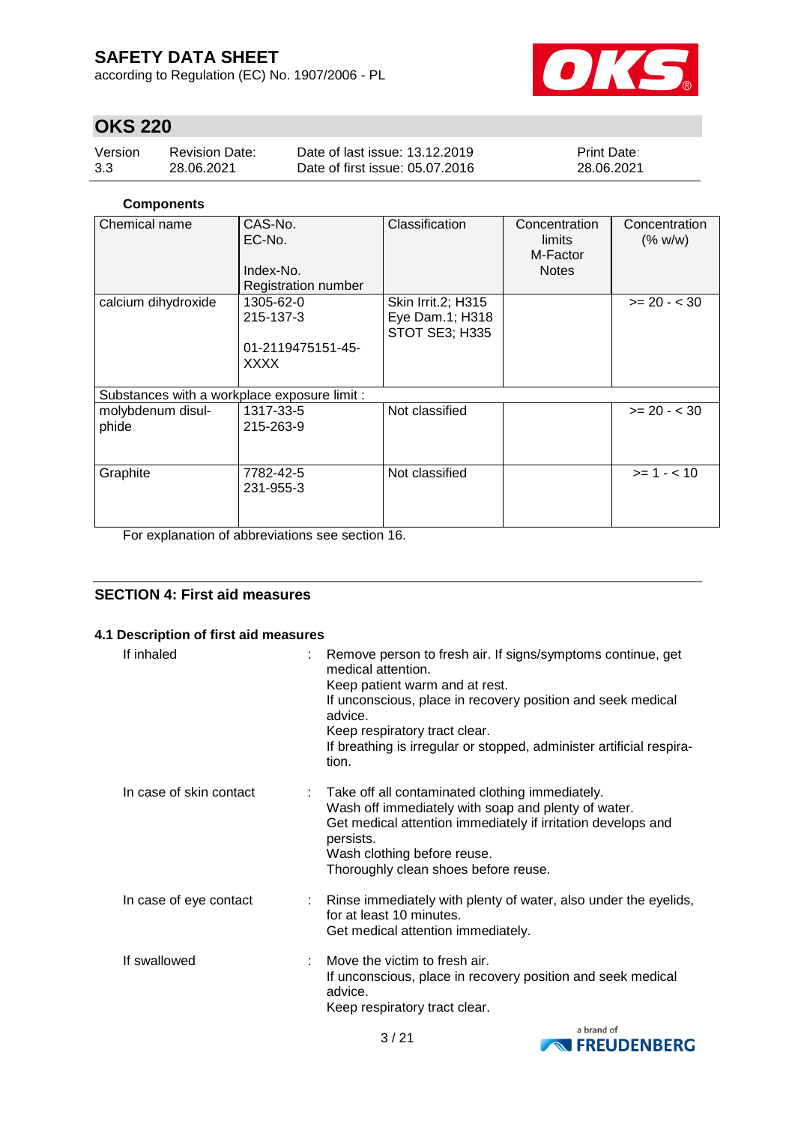according to Regulation (EC) No. 1907/2006 - PL



## **OKS 220**

| Version | <b>Revision Date:</b> | Date of last issue: 13.12.2019  | <b>Print Date:</b> |
|---------|-----------------------|---------------------------------|--------------------|
| 3.3     | 28.06.2021            | Date of first issue: 05.07.2016 | 28.06.2021         |

### **Components**

| Chemical name                                | CAS-No.<br>EC-No.<br>Index-No.<br><b>Registration number</b> | Classification                                          | Concentration<br>limits<br>M-Factor<br><b>Notes</b> | Concentration<br>(% w/w) |
|----------------------------------------------|--------------------------------------------------------------|---------------------------------------------------------|-----------------------------------------------------|--------------------------|
| calcium dihydroxide                          | 1305-62-0<br>215-137-3<br>01-2119475151-45-<br><b>XXXX</b>   | Skin Irrit.2; H315<br>Eye Dam.1; H318<br>STOT SE3; H335 |                                                     | $>= 20 - < 30$           |
| Substances with a workplace exposure limit : |                                                              |                                                         |                                                     |                          |
| molybdenum disul-<br>phide                   | 1317-33-5<br>215-263-9                                       | Not classified                                          |                                                     | $>= 20 - < 30$           |
| Graphite                                     | 7782-42-5<br>231-955-3                                       | Not classified                                          |                                                     | $>= 1 - 10$              |

For explanation of abbreviations see section 16.

### **SECTION 4: First aid measures**

#### **4.1 Description of first aid measures**

| If inhaled              | : Remove person to fresh air. If signs/symptoms continue, get<br>medical attention.<br>Keep patient warm and at rest.<br>If unconscious, place in recovery position and seek medical<br>advice.<br>Keep respiratory tract clear.<br>If breathing is irregular or stopped, administer artificial respira-<br>tion. |
|-------------------------|-------------------------------------------------------------------------------------------------------------------------------------------------------------------------------------------------------------------------------------------------------------------------------------------------------------------|
| In case of skin contact | : Take off all contaminated clothing immediately.<br>Wash off immediately with soap and plenty of water.<br>Get medical attention immediately if irritation develops and<br>persists.<br>Wash clothing before reuse.<br>Thoroughly clean shoes before reuse.                                                      |
| In case of eye contact  | : Rinse immediately with plenty of water, also under the eyelids,<br>for at least 10 minutes.<br>Get medical attention immediately.                                                                                                                                                                               |
| If swallowed            | Move the victim to fresh air.<br>If unconscious, place in recovery position and seek medical<br>advice.<br>Keep respiratory tract clear.                                                                                                                                                                          |

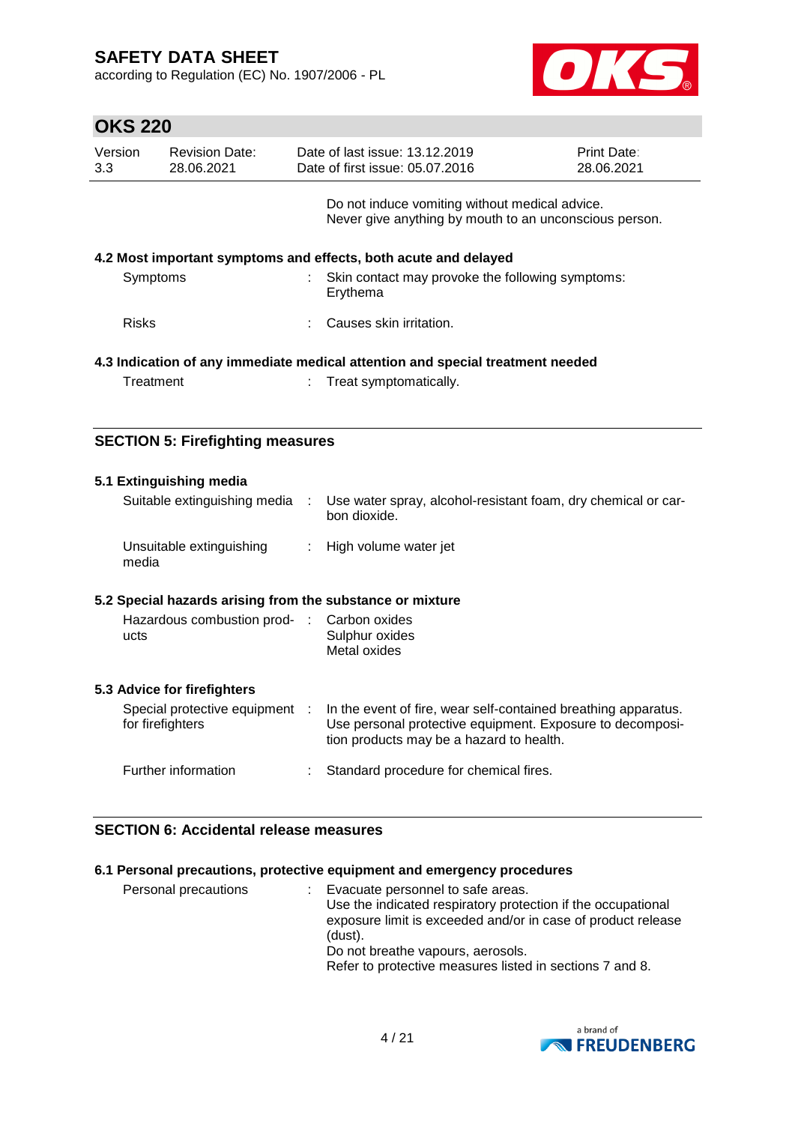according to Regulation (EC) No. 1907/2006 - PL



| <b>OKS 220</b>              |                                                                                |  |                                                                                                          |                                  |  |
|-----------------------------|--------------------------------------------------------------------------------|--|----------------------------------------------------------------------------------------------------------|----------------------------------|--|
| Version<br>3.3 <sub>2</sub> | <b>Revision Date:</b><br>28.06.2021                                            |  | Date of last issue: 13.12.2019<br>Date of first issue: 05.07.2016                                        | <b>Print Date:</b><br>28.06.2021 |  |
|                             |                                                                                |  | Do not induce vomiting without medical advice.<br>Never give anything by mouth to an unconscious person. |                                  |  |
|                             |                                                                                |  | 4.2 Most important symptoms and effects, both acute and delayed                                          |                                  |  |
| Symptoms                    |                                                                                |  | Skin contact may provoke the following symptoms:<br>Erythema                                             |                                  |  |
| <b>Risks</b>                |                                                                                |  | Causes skin irritation.                                                                                  |                                  |  |
|                             | 4.3 Indication of any immediate medical attention and special treatment needed |  |                                                                                                          |                                  |  |
| Treatment                   |                                                                                |  | Treat symptomatically.                                                                                   |                                  |  |

### **SECTION 5: Firefighting measures**

| 5.1 Extinguishing media<br>Suitable extinguishing media   | $\sim$                     | Use water spray, alcohol-resistant foam, dry chemical or car-<br>bon dioxide.                                                                                           |
|-----------------------------------------------------------|----------------------------|-------------------------------------------------------------------------------------------------------------------------------------------------------------------------|
| Unsuitable extinguishing<br>media                         | $\mathcal{L}^{\text{max}}$ | High volume water jet                                                                                                                                                   |
| 5.2 Special hazards arising from the substance or mixture |                            |                                                                                                                                                                         |
| Hazardous combustion prod- : Carbon oxides<br>ucts        |                            | Sulphur oxides<br>Metal oxides                                                                                                                                          |
| 5.3 Advice for firefighters                               |                            |                                                                                                                                                                         |
| Special protective equipment :<br>for firefighters        |                            | In the event of fire, wear self-contained breathing apparatus.<br>Use personal protective equipment. Exposure to decomposi-<br>tion products may be a hazard to health. |
| Further information                                       |                            | Standard procedure for chemical fires.                                                                                                                                  |

### **SECTION 6: Accidental release measures**

### **6.1 Personal precautions, protective equipment and emergency procedures**

| Personal precautions | : Evacuate personnel to safe areas.<br>Use the indicated respiratory protection if the occupational<br>exposure limit is exceeded and/or in case of product release<br>(dust).<br>Do not breathe vapours, aerosols.<br>Refer to protective measures listed in sections 7 and 8. |
|----------------------|---------------------------------------------------------------------------------------------------------------------------------------------------------------------------------------------------------------------------------------------------------------------------------|
|----------------------|---------------------------------------------------------------------------------------------------------------------------------------------------------------------------------------------------------------------------------------------------------------------------------|

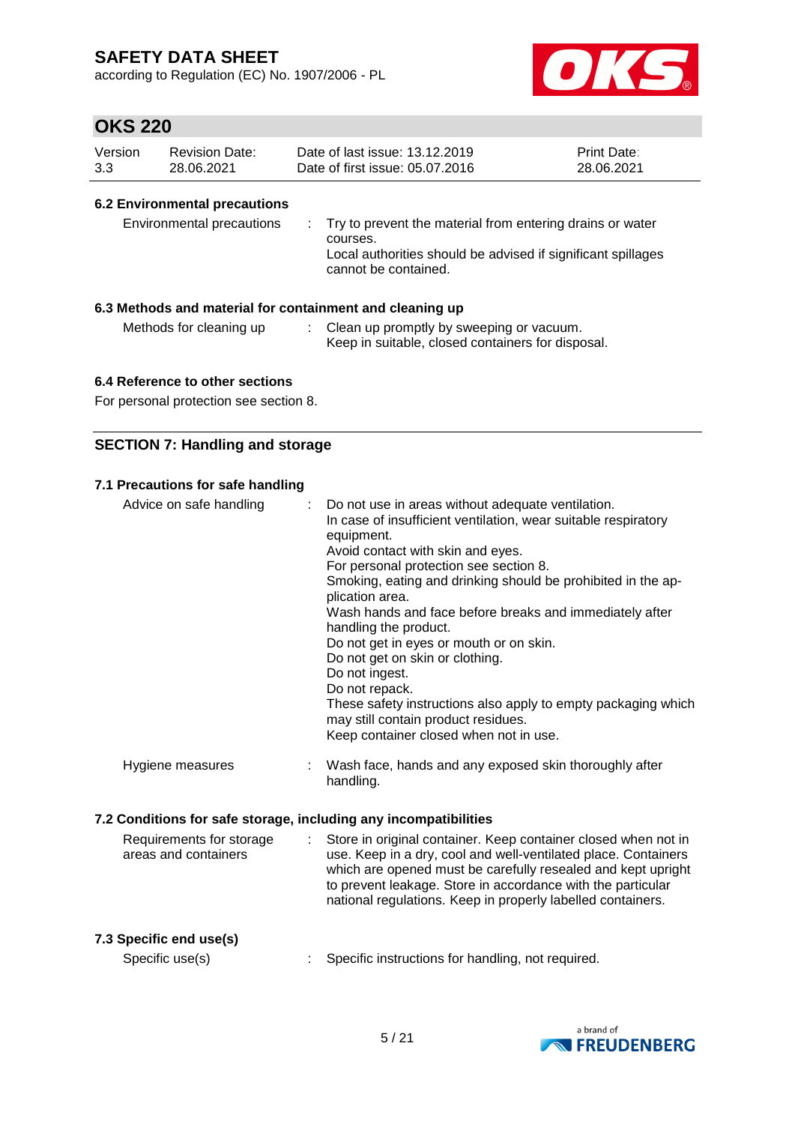according to Regulation (EC) No. 1907/2006 - PL



### **OKS 220**

| Version | <b>Revision Date:</b> | Date of last issue: 13.12.2019  | <b>Print Date:</b> |
|---------|-----------------------|---------------------------------|--------------------|
| 3.3     | 28.06.2021            | Date of first issue: 05.07.2016 | 28.06.2021         |

### **6.2 Environmental precautions**

| Environmental precautions | : Try to prevent the material from entering drains or water<br>courses.<br>Local authorities should be advised if significant spillages<br>cannot be contained. |
|---------------------------|-----------------------------------------------------------------------------------------------------------------------------------------------------------------|
|---------------------------|-----------------------------------------------------------------------------------------------------------------------------------------------------------------|

### **6.3 Methods and material for containment and cleaning up**

- Methods for cleaning up : Clean up promptly by sweeping or vacuum.
	- Keep in suitable, closed containers for disposal.

### **6.4 Reference to other sections**

For personal protection see section 8.

### **SECTION 7: Handling and storage**

### **7.1 Precautions for safe handling**

| Advice on safe handling                                          | Do not use in areas without adequate ventilation.<br>In case of insufficient ventilation, wear suitable respiratory<br>equipment.<br>Avoid contact with skin and eyes.<br>For personal protection see section 8.<br>Smoking, eating and drinking should be prohibited in the ap-<br>plication area.<br>Wash hands and face before breaks and immediately after<br>handling the product.<br>Do not get in eyes or mouth or on skin.<br>Do not get on skin or clothing.<br>Do not ingest.<br>Do not repack.<br>These safety instructions also apply to empty packaging which<br>may still contain product residues.<br>Keep container closed when not in use. |
|------------------------------------------------------------------|-------------------------------------------------------------------------------------------------------------------------------------------------------------------------------------------------------------------------------------------------------------------------------------------------------------------------------------------------------------------------------------------------------------------------------------------------------------------------------------------------------------------------------------------------------------------------------------------------------------------------------------------------------------|
| Hygiene measures                                                 | Wash face, hands and any exposed skin thoroughly after<br>handling.                                                                                                                                                                                                                                                                                                                                                                                                                                                                                                                                                                                         |
| 7.2 Conditions for safe storage, including any incompatibilities |                                                                                                                                                                                                                                                                                                                                                                                                                                                                                                                                                                                                                                                             |
| Requirements for storage<br>areas and containers                 | Store in original container. Keep container closed when not in<br>use. Keep in a dry, cool and well-ventilated place. Containers<br>which are opened must be carefully resealed and kept upright<br>to prevent leakage. Store in accordance with the particular<br>national regulations. Keep in properly labelled containers.                                                                                                                                                                                                                                                                                                                              |
| 7.3 Specific end use(s)<br>Specific use(s)                       | Specific instructions for handling, not required.                                                                                                                                                                                                                                                                                                                                                                                                                                                                                                                                                                                                           |

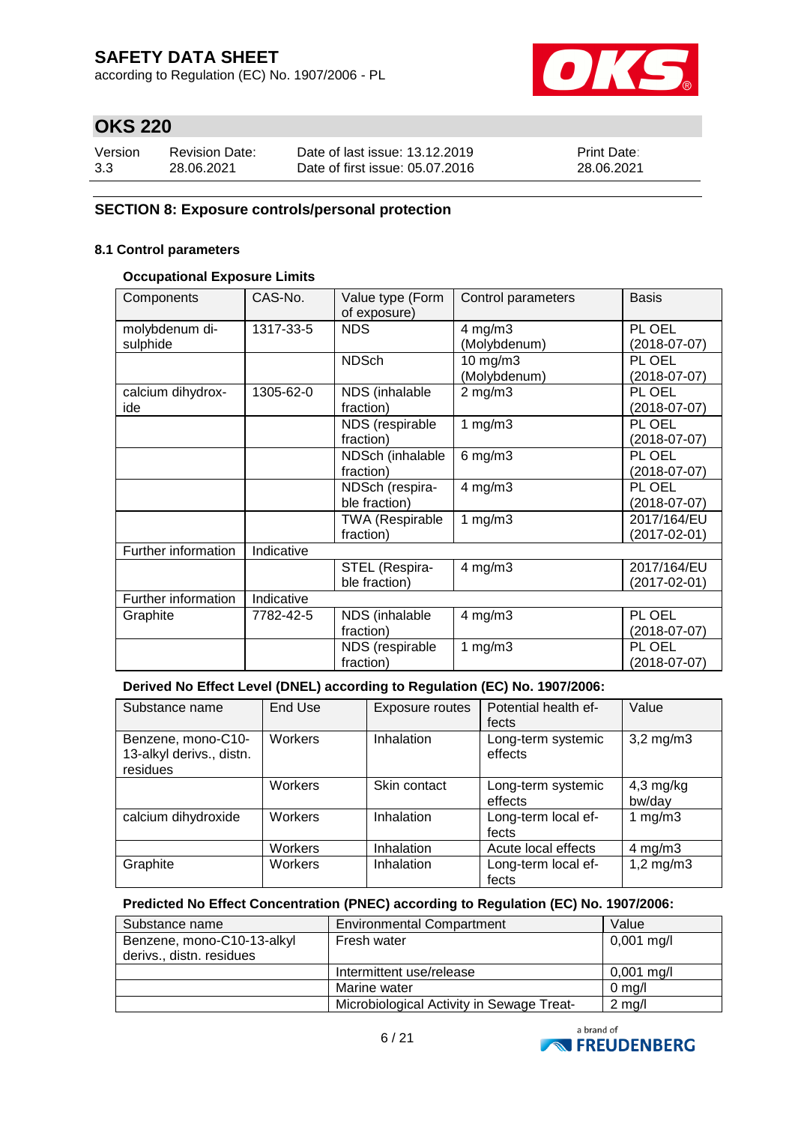according to Regulation (EC) No. 1907/2006 - PL



# **OKS 220**

| Version | <b>Revision Date:</b> | Date of last issue: 13.12.2019  | <b>Print Date:</b> |
|---------|-----------------------|---------------------------------|--------------------|
| 3.3     | 28.06.2021            | Date of first issue: 05.07.2016 | 28.06.2021         |

### **SECTION 8: Exposure controls/personal protection**

#### **8.1 Control parameters**

#### **Occupational Exposure Limits**

| Components          | CAS-No.    | Value type (Form<br>of exposure) | Control parameters | <b>Basis</b>   |
|---------------------|------------|----------------------------------|--------------------|----------------|
| molybdenum di-      | 1317-33-5  | <b>NDS</b>                       | $4$ mg/m $3$       | PL OEL         |
| sulphide            |            |                                  | (Molybdenum)       | $(2018-07-07)$ |
|                     |            | <b>NDSch</b>                     |                    | PL OEL         |
|                     |            |                                  | $10$ mg/m $3$      |                |
|                     |            |                                  | (Molybdenum)       | $(2018-07-07)$ |
| calcium dihydrox-   | 1305-62-0  | NDS (inhalable                   | $2$ mg/m $3$       | PL OEL         |
| ide                 |            | fraction)                        |                    | $(2018-07-07)$ |
|                     |            | NDS (respirable                  | 1 $mg/m3$          | PL OEL         |
|                     |            | fraction)                        |                    | $(2018-07-07)$ |
|                     |            | NDSch (inhalable                 | $6$ mg/m $3$       | PL OEL         |
|                     |            | fraction)                        |                    | $(2018-07-07)$ |
|                     |            | NDSch (respira-                  | $4$ mg/m $3$       | PL OEL         |
|                     |            | ble fraction)                    |                    | $(2018-07-07)$ |
|                     |            | <b>TWA (Respirable</b>           | 1 $mg/m3$          | 2017/164/EU    |
|                     |            | fraction)                        |                    | (2017-02-01)   |
| Further information | Indicative |                                  |                    |                |
|                     |            | STEL (Respira-                   | $4$ mg/m $3$       | 2017/164/EU    |
|                     |            | ble fraction)                    |                    | (2017-02-01)   |
| Further information | Indicative |                                  |                    |                |
| Graphite            | 7782-42-5  | NDS (inhalable                   | $4$ mg/m $3$       | PL OEL         |
|                     |            | fraction)                        |                    | $(2018-07-07)$ |
|                     |            | NDS (respirable                  | 1 $mg/m3$          | PL OEL         |
|                     |            | fraction)                        |                    | $(2018-07-07)$ |

#### **Derived No Effect Level (DNEL) according to Regulation (EC) No. 1907/2006:**

| Substance name                                             | End Use | Exposure routes | Potential health ef-<br>fects | Value                 |
|------------------------------------------------------------|---------|-----------------|-------------------------------|-----------------------|
| Benzene, mono-C10-<br>13-alkyl derivs., distn.<br>residues | Workers | Inhalation      | Long-term systemic<br>effects | $3,2$ mg/m $3$        |
|                                                            | Workers | Skin contact    | Long-term systemic<br>effects | $4,3$ mg/kg<br>bw/day |
| calcium dihydroxide                                        | Workers | Inhalation      | Long-term local ef-<br>fects  | 1 mg/m $3$            |
|                                                            | Workers | Inhalation      | Acute local effects           | 4 mg/m $3$            |
| Graphite                                                   | Workers | Inhalation      | Long-term local ef-<br>fects  | $1,2$ mg/m $3$        |

### **Predicted No Effect Concentration (PNEC) according to Regulation (EC) No. 1907/2006:**

| Substance name             | <b>Environmental Compartment</b>          | Value            |
|----------------------------|-------------------------------------------|------------------|
| Benzene, mono-C10-13-alkyl | Fresh water                               | $0,001$ mg/l     |
| derivs., distn. residues   |                                           |                  |
|                            | Intermittent use/release                  | $0,001$ mg/l     |
|                            | Marine water                              | $0 \text{ mg/l}$ |
|                            | Microbiological Activity in Sewage Treat- | $2$ mg/l         |

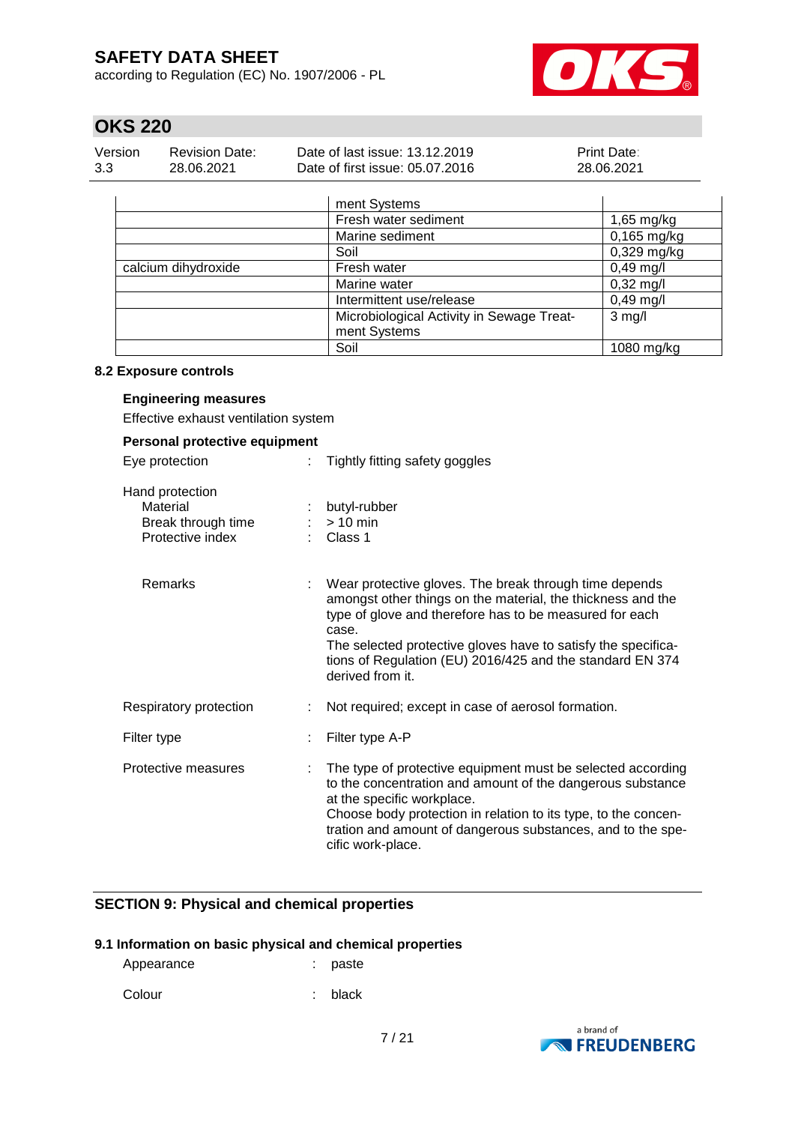according to Regulation (EC) No. 1907/2006 - PL



## **OKS 220**

| Version | <b>Revision Date:</b> | Date of last issue: 13.12.2019  | <b>Print Date:</b> |
|---------|-----------------------|---------------------------------|--------------------|
| 3.3     | 28.06.2021            | Date of first issue: 05.07.2016 | 28.06.2021         |

|                     | ment Systems                              |                     |
|---------------------|-------------------------------------------|---------------------|
|                     | Fresh water sediment                      | $1,65$ mg/kg        |
|                     | Marine sediment                           | $0,165$ mg/kg       |
|                     | Soil                                      | 0,329 mg/kg         |
| calcium dihydroxide | Fresh water                               | $0,49$ mg/l         |
|                     | Marine water                              | $0,32 \text{ mg/l}$ |
|                     | Intermittent use/release                  | $0,49$ mg/l         |
|                     | Microbiological Activity in Sewage Treat- | $3$ mg/l            |
|                     | ment Systems                              |                     |
|                     | Soil                                      | 1080 mg/kg          |

#### **8.2 Exposure controls**

#### **Engineering measures**

Effective exhaust ventilation system

### **Personal protective equipment**

| Eye protection                                                        | Tightly fitting safety goggles                                                                                                                                                                                                                                                                                                              |
|-----------------------------------------------------------------------|---------------------------------------------------------------------------------------------------------------------------------------------------------------------------------------------------------------------------------------------------------------------------------------------------------------------------------------------|
| Hand protection<br>Material<br>Break through time<br>Protective index | butyl-rubber<br>$:$ > 10 min<br>: Class 1                                                                                                                                                                                                                                                                                                   |
| Remarks                                                               | Wear protective gloves. The break through time depends<br>amongst other things on the material, the thickness and the<br>type of glove and therefore has to be measured for each<br>case.<br>The selected protective gloves have to satisfy the specifica-<br>tions of Regulation (EU) 2016/425 and the standard EN 374<br>derived from it. |
| Respiratory protection                                                | Not required; except in case of aerosol formation.                                                                                                                                                                                                                                                                                          |
| Filter type                                                           | Filter type A-P                                                                                                                                                                                                                                                                                                                             |
| Protective measures                                                   | The type of protective equipment must be selected according<br>to the concentration and amount of the dangerous substance<br>at the specific workplace.<br>Choose body protection in relation to its type, to the concen-<br>tration and amount of dangerous substances, and to the spe-<br>cific work-place.                               |

### **SECTION 9: Physical and chemical properties**

#### **9.1 Information on basic physical and chemical properties**

| Appearance | : paste |
|------------|---------|
| Colour     | : black |

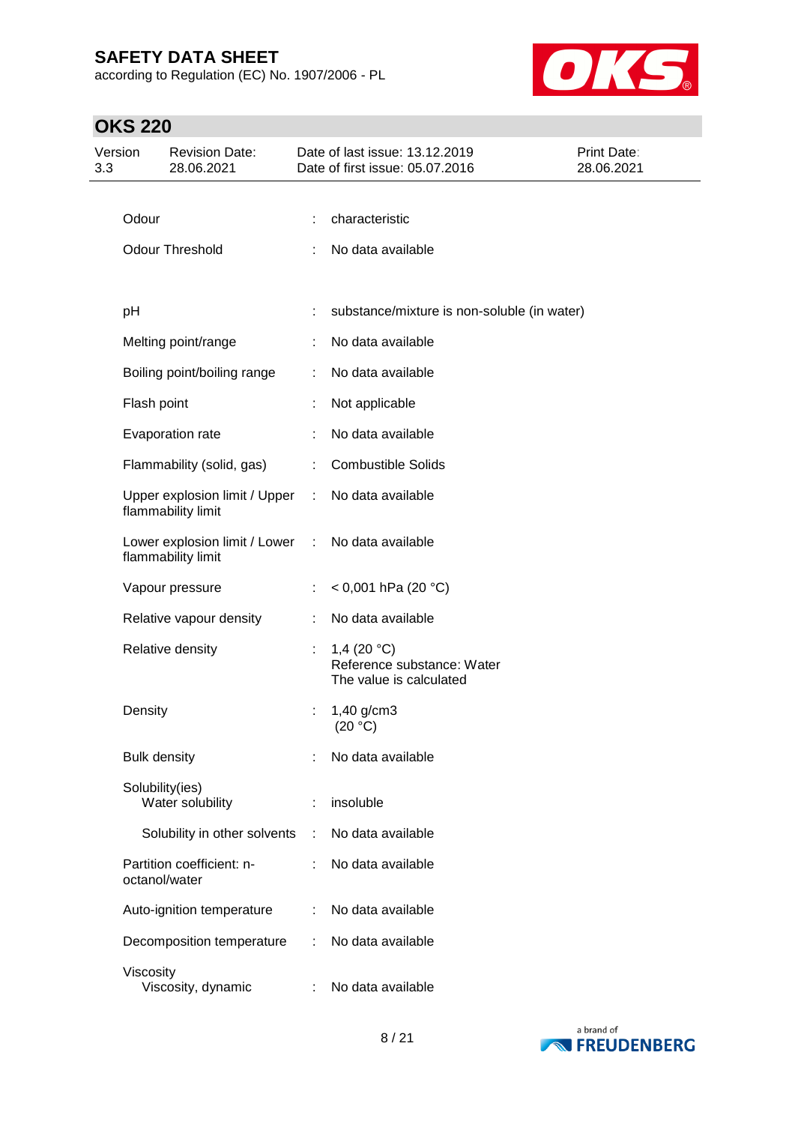according to Regulation (EC) No. 1907/2006 - PL



| Version<br>3.3 |                     | <b>Revision Date:</b><br>28.06.2021                 |                               | Date of last issue: 13.12.2019<br>Date of first issue: 05.07.2016      | <b>Print Date:</b><br>28.06.2021 |
|----------------|---------------------|-----------------------------------------------------|-------------------------------|------------------------------------------------------------------------|----------------------------------|
|                |                     |                                                     |                               |                                                                        |                                  |
|                | Odour               |                                                     |                               | characteristic                                                         |                                  |
|                |                     | <b>Odour Threshold</b>                              |                               | No data available                                                      |                                  |
|                |                     |                                                     |                               |                                                                        |                                  |
|                | рH                  |                                                     |                               | substance/mixture is non-soluble (in water)                            |                                  |
|                |                     | Melting point/range                                 |                               | No data available                                                      |                                  |
|                |                     | Boiling point/boiling range                         |                               | No data available                                                      |                                  |
|                | Flash point         |                                                     |                               | Not applicable                                                         |                                  |
|                |                     | Evaporation rate                                    |                               | No data available                                                      |                                  |
|                |                     | Flammability (solid, gas)                           | ÷                             | <b>Combustible Solids</b>                                              |                                  |
|                |                     | Upper explosion limit / Upper<br>flammability limit | ÷.                            | No data available                                                      |                                  |
|                |                     | Lower explosion limit / Lower<br>flammability limit | $\mathcal{I}^{\mathcal{I}}$ . | No data available                                                      |                                  |
|                |                     | Vapour pressure                                     |                               | < 0,001 hPa (20 °C)                                                    |                                  |
|                |                     | Relative vapour density                             |                               | No data available                                                      |                                  |
|                |                     | Relative density                                    |                               | 1,4 $(20 °C)$<br>Reference substance: Water<br>The value is calculated |                                  |
|                | Density             |                                                     |                               | $1,40$ g/cm3<br>(20 °C)                                                |                                  |
|                | <b>Bulk density</b> |                                                     |                               | No data available                                                      |                                  |
|                |                     | Solubility(ies)<br>Water solubility                 |                               | insoluble                                                              |                                  |
|                |                     | Solubility in other solvents                        | ÷                             | No data available                                                      |                                  |
|                |                     | Partition coefficient: n-<br>octanol/water          | ۰.                            | No data available                                                      |                                  |
|                |                     | Auto-ignition temperature                           |                               | No data available                                                      |                                  |
|                |                     | Decomposition temperature                           |                               | No data available                                                      |                                  |
|                | Viscosity           | Viscosity, dynamic                                  |                               | No data available                                                      |                                  |

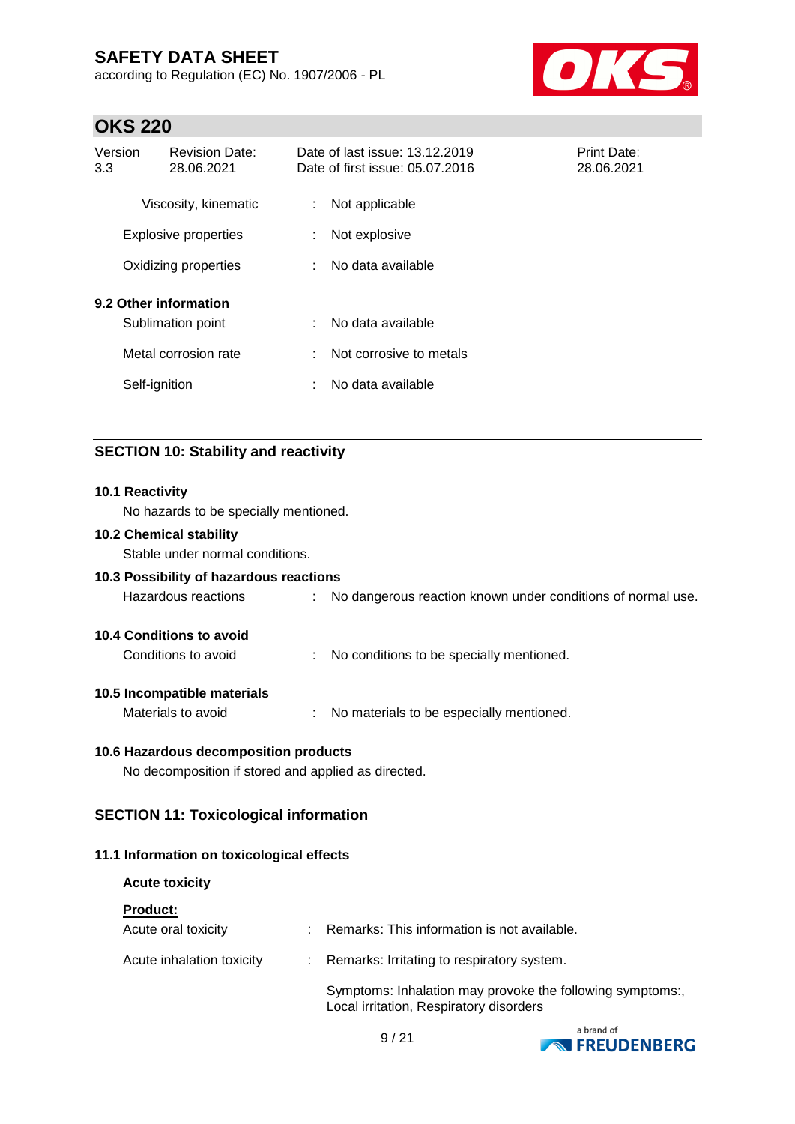according to Regulation (EC) No. 1907/2006 - PL



### **OKS 220**

| Version<br>3.3 | <b>Revision Date:</b><br>28.06.2021 |    | Date of last issue: 13.12.2019<br>Date of first issue: 05.07.2016 | <b>Print Date:</b><br>28.06.2021 |  |
|----------------|-------------------------------------|----|-------------------------------------------------------------------|----------------------------------|--|
|                | Viscosity, kinematic                | ÷  | Not applicable                                                    |                                  |  |
|                | <b>Explosive properties</b>         | t. | Not explosive                                                     |                                  |  |
|                | Oxidizing properties                | ÷. | No data available                                                 |                                  |  |
|                | 9.2 Other information               |    |                                                                   |                                  |  |
|                | Sublimation point                   | t. | No data available                                                 |                                  |  |
|                | Metal corrosion rate                | t. | Not corrosive to metals                                           |                                  |  |
|                | Self-ignition                       | ٠  | No data available                                                 |                                  |  |

### **SECTION 10: Stability and reactivity**

#### **10.1 Reactivity**

No hazards to be specially mentioned.

#### **10.2 Chemical stability**

Stable under normal conditions.

### **10.3 Possibility of hazardous reactions**

Hazardous reactions : No dangerous reaction known under conditions of normal use.

### **10.4 Conditions to avoid**

Conditions to avoid : No conditions to be specially mentioned.

#### **10.5 Incompatible materials**

Materials to avoid : No materials to be especially mentioned.

#### **10.6 Hazardous decomposition products**

No decomposition if stored and applied as directed.

### **SECTION 11: Toxicological information**

#### **11.1 Information on toxicological effects**

#### **Acute toxicity**

| <b>Product:</b> |  |  |
|-----------------|--|--|
|                 |  |  |

| Acute oral toxicity       | Remarks: This information is not available.                                                          |
|---------------------------|------------------------------------------------------------------------------------------------------|
| Acute inhalation toxicity | : Remarks: Irritating to respiratory system.                                                         |
|                           | Symptoms: Inhalation may provoke the following symptoms:,<br>Local irritation, Respiratory disorders |

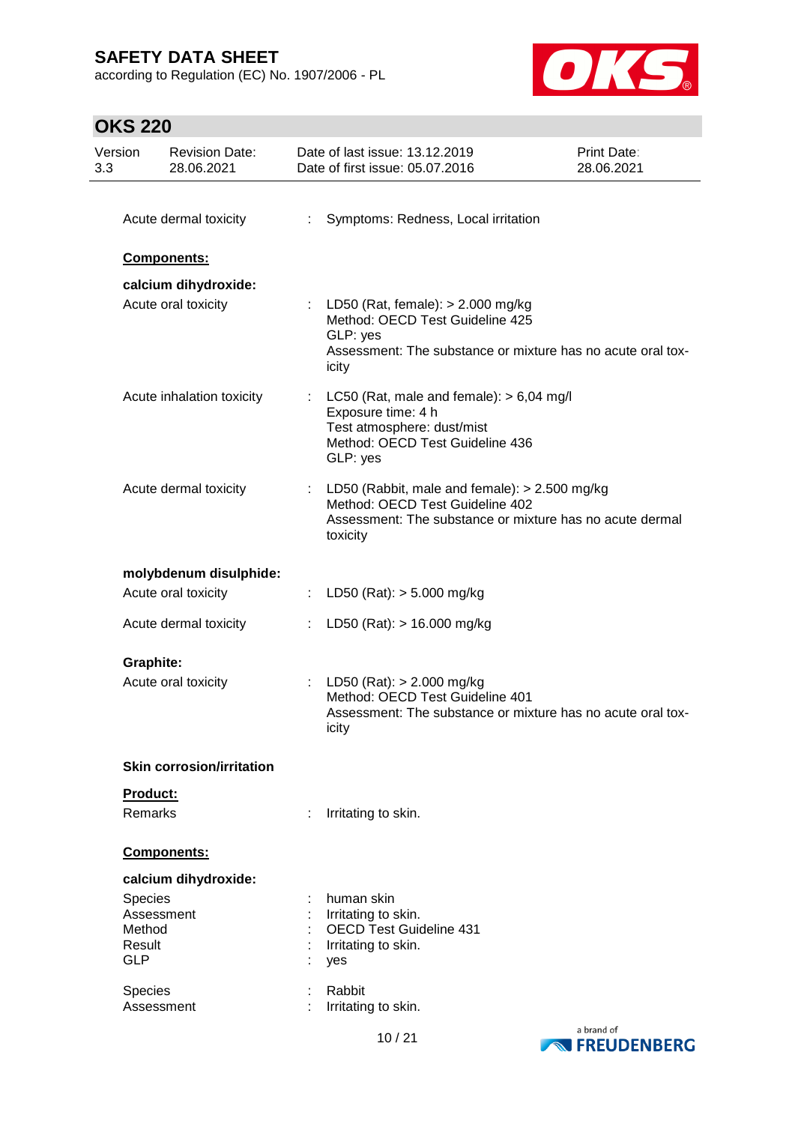according to Regulation (EC) No. 1907/2006 - PL



| Version<br>3.3 | <b>Revision Date:</b><br>28.06.2021 |   | Date of last issue: 13.12.2019<br>Date of first issue: 05.07.2016                                                                                            | Print Date:<br>28.06.2021 |
|----------------|-------------------------------------|---|--------------------------------------------------------------------------------------------------------------------------------------------------------------|---------------------------|
|                | Acute dermal toxicity               | ÷ | Symptoms: Redness, Local irritation                                                                                                                          |                           |
|                | Components:                         |   |                                                                                                                                                              |                           |
|                | calcium dihydroxide:                |   |                                                                                                                                                              |                           |
|                | Acute oral toxicity                 |   | LD50 (Rat, female): $> 2.000$ mg/kg<br>Method: OECD Test Guideline 425<br>GLP: yes<br>Assessment: The substance or mixture has no acute oral tox-<br>icity   |                           |
|                | Acute inhalation toxicity           |   | : LC50 (Rat, male and female): $> 6,04$ mg/l<br>Exposure time: 4 h<br>Test atmosphere: dust/mist<br>Method: OECD Test Guideline 436<br>GLP: yes              |                           |
|                | Acute dermal toxicity               |   | : LD50 (Rabbit, male and female): $> 2.500$ mg/kg<br>Method: OECD Test Guideline 402<br>Assessment: The substance or mixture has no acute dermal<br>toxicity |                           |
|                | molybdenum disulphide:              |   |                                                                                                                                                              |                           |
|                | Acute oral toxicity                 |   | LD50 (Rat): > 5.000 mg/kg                                                                                                                                    |                           |
|                | Acute dermal toxicity               |   | LD50 (Rat): $> 16.000$ mg/kg                                                                                                                                 |                           |
|                | <b>Graphite:</b>                    |   |                                                                                                                                                              |                           |
|                | Acute oral toxicity                 |   | : LD50 (Rat): $> 2.000$ mg/kg<br>Method: OECD Test Guideline 401<br>Assessment: The substance or mixture has no acute oral tox-<br>icity                     |                           |
|                | <b>Skin corrosion/irritation</b>    |   |                                                                                                                                                              |                           |
|                | Product:<br><b>Remarks</b>          |   | Irritating to skin.                                                                                                                                          |                           |
|                | Components:                         |   |                                                                                                                                                              |                           |
|                | calcium dihydroxide:                |   |                                                                                                                                                              |                           |
|                | <b>Species</b>                      |   | human skin                                                                                                                                                   |                           |
|                | Assessment<br>Method                |   | Irritating to skin.<br><b>OECD Test Guideline 431</b>                                                                                                        |                           |
| <b>GLP</b>     | Result                              |   | Irritating to skin.<br>yes                                                                                                                                   |                           |
|                | <b>Species</b>                      |   | Rabbit                                                                                                                                                       |                           |
|                | Assessment                          |   | Irritating to skin.                                                                                                                                          |                           |

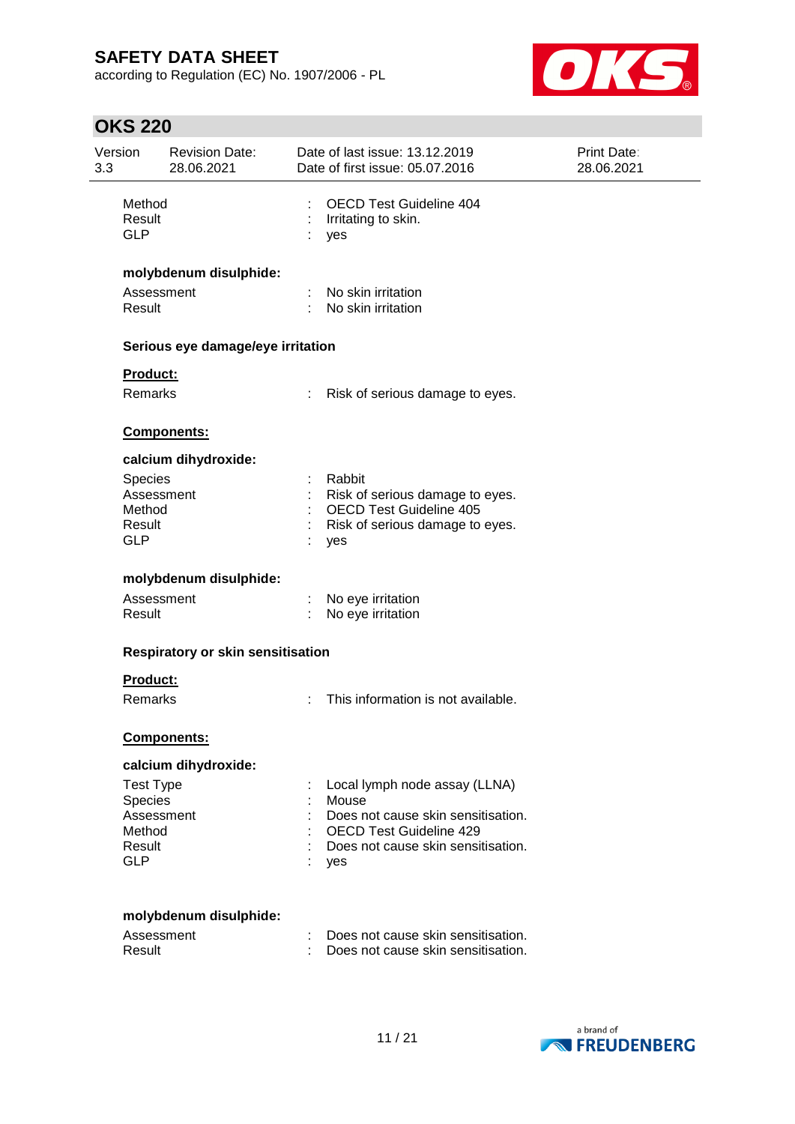according to Regulation (EC) No. 1907/2006 - PL



| Version<br>3.3 | <b>Revision Date:</b><br>28.06.2021      | Date of last issue: 13.12.2019<br>Date of first issue: 05.07.2016 | <b>Print Date:</b><br>28.06.2021 |
|----------------|------------------------------------------|-------------------------------------------------------------------|----------------------------------|
| <b>GLP</b>     | Method<br>Result                         | <b>OECD Test Guideline 404</b><br>Irritating to skin.<br>yes      |                                  |
|                | molybdenum disulphide:                   |                                                                   |                                  |
|                | Assessment<br>Result                     | No skin irritation<br>No skin irritation                          |                                  |
|                | Serious eye damage/eye irritation        |                                                                   |                                  |
|                | <b>Product:</b>                          |                                                                   |                                  |
|                | Remarks                                  | Risk of serious damage to eyes.                                   |                                  |
|                | Components:                              |                                                                   |                                  |
|                | calcium dihydroxide:                     |                                                                   |                                  |
|                | Species                                  | Rabbit                                                            |                                  |
|                | Assessment                               | Risk of serious damage to eyes.                                   |                                  |
|                | Method<br>Result                         | <b>OECD Test Guideline 405</b><br>Risk of serious damage to eyes. |                                  |
| <b>GLP</b>     |                                          | yes                                                               |                                  |
|                | molybdenum disulphide:                   |                                                                   |                                  |
|                | Assessment                               | No eye irritation                                                 |                                  |
|                | Result                                   | No eye irritation                                                 |                                  |
|                | <b>Respiratory or skin sensitisation</b> |                                                                   |                                  |
|                | Product:                                 |                                                                   |                                  |
|                | Remarks                                  | This information is not available.                                |                                  |
|                | <b>Components:</b>                       |                                                                   |                                  |
|                | calcium dihydroxide:                     |                                                                   |                                  |
|                | <b>Test Type</b>                         | Local lymph node assay (LLNA)                                     |                                  |
|                | Species                                  | Mouse                                                             |                                  |
|                | Assessment                               | Does not cause skin sensitisation.                                |                                  |
|                | Method                                   | <b>OECD Test Guideline 429</b>                                    |                                  |
| <b>GLP</b>     | Result                                   | Does not cause skin sensitisation.<br>yes                         |                                  |
|                | molybdenum disulphide:                   |                                                                   |                                  |
|                | Assessment                               | Does not cause skin sensitisation.                                |                                  |
|                | Result                                   | Does not cause skin sensitisation.                                |                                  |
|                |                                          |                                                                   |                                  |

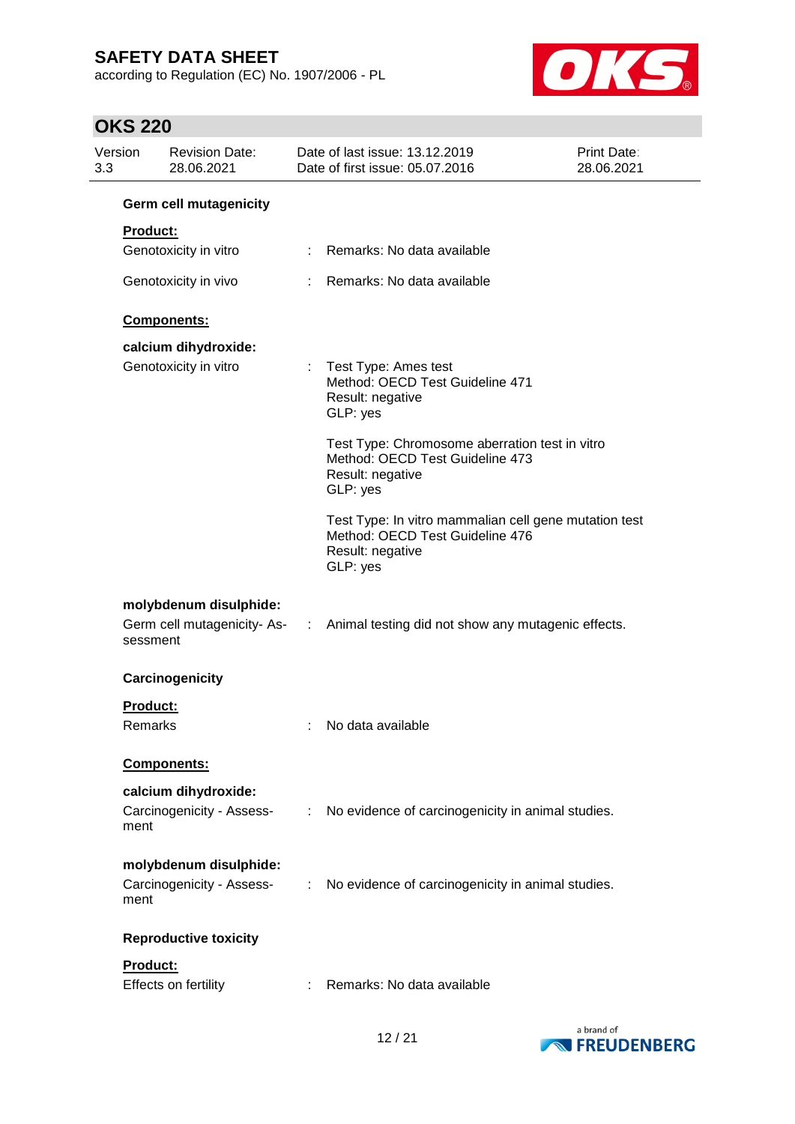according to Regulation (EC) No. 1907/2006 - PL



| Version<br>3.3 | <b>Revision Date:</b><br>28.06.2021                         |                             | Date of last issue: 13.12.2019<br>Date of first issue: 05.07.2016                                                        | Print Date:<br>28.06.2021 |
|----------------|-------------------------------------------------------------|-----------------------------|--------------------------------------------------------------------------------------------------------------------------|---------------------------|
|                | <b>Germ cell mutagenicity</b>                               |                             |                                                                                                                          |                           |
|                | <b>Product:</b>                                             |                             |                                                                                                                          |                           |
|                | Genotoxicity in vitro                                       |                             | : Remarks: No data available                                                                                             |                           |
|                | Genotoxicity in vivo                                        |                             | : Remarks: No data available                                                                                             |                           |
|                | Components:                                                 |                             |                                                                                                                          |                           |
|                | calcium dihydroxide:                                        |                             |                                                                                                                          |                           |
|                | Genotoxicity in vitro                                       | ÷.                          | Test Type: Ames test<br>Method: OECD Test Guideline 471<br>Result: negative<br>GLP: yes                                  |                           |
|                |                                                             |                             | Test Type: Chromosome aberration test in vitro<br>Method: OECD Test Guideline 473<br>Result: negative<br>GLP: yes        |                           |
|                |                                                             |                             | Test Type: In vitro mammalian cell gene mutation test<br>Method: OECD Test Guideline 476<br>Result: negative<br>GLP: yes |                           |
|                | molybdenum disulphide:<br>sessment                          |                             | Germ cell mutagenicity-As- : Animal testing did not show any mutagenic effects.                                          |                           |
|                | Carcinogenicity                                             |                             |                                                                                                                          |                           |
|                | <b>Product:</b><br>Remarks                                  |                             | No data available                                                                                                        |                           |
|                | Components:                                                 |                             |                                                                                                                          |                           |
|                | calcium dihydroxide:                                        |                             |                                                                                                                          |                           |
|                | Carcinogenicity - Assess-<br>ment                           | $\mathcal{L}^{\mathcal{L}}$ | No evidence of carcinogenicity in animal studies.                                                                        |                           |
|                | molybdenum disulphide:<br>Carcinogenicity - Assess-<br>ment | ÷.                          | No evidence of carcinogenicity in animal studies.                                                                        |                           |
|                | <b>Reproductive toxicity</b>                                |                             |                                                                                                                          |                           |
|                | Product:<br>Effects on fertility                            |                             | : Remarks: No data available                                                                                             |                           |

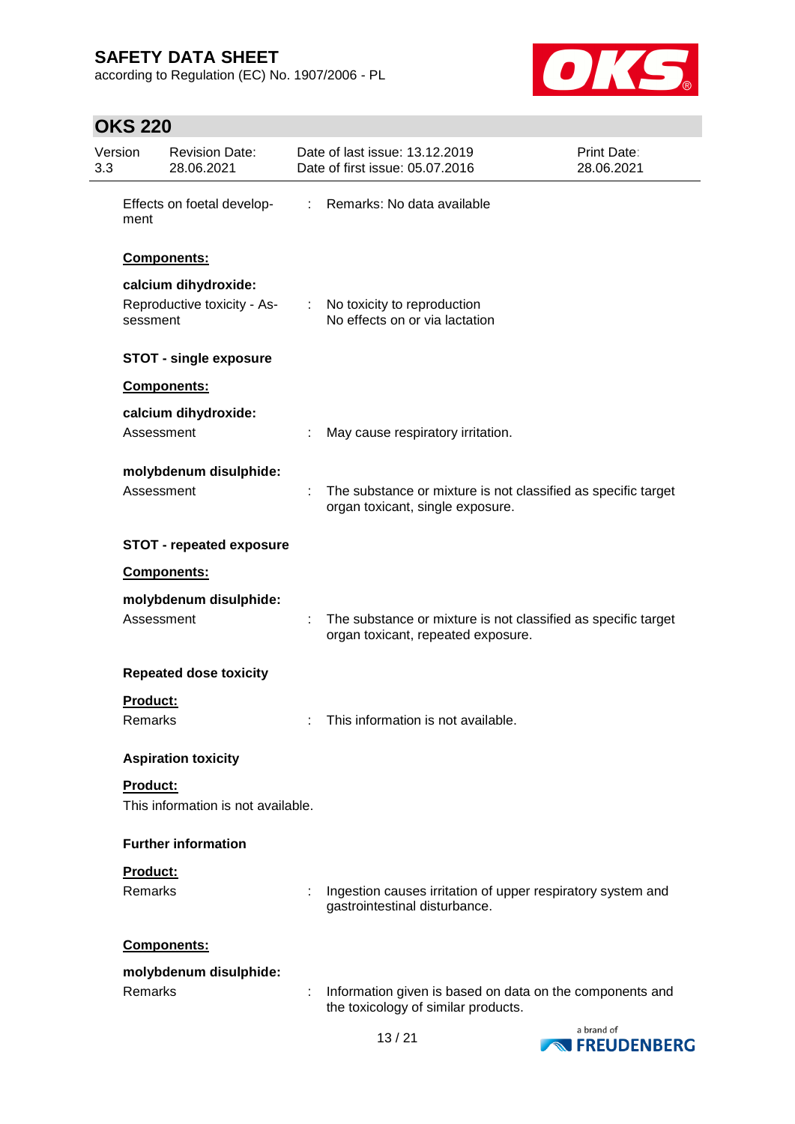according to Regulation (EC) No. 1907/2006 - PL



| Version<br>3.3 | <b>Revision Date:</b><br>28.06.2021     |    | Date of last issue: 13.12.2019<br>Date of first issue: 05.07.2016                                   | Print Date:<br>28.06.2021 |
|----------------|-----------------------------------------|----|-----------------------------------------------------------------------------------------------------|---------------------------|
| ment           | Effects on foetal develop-              | ÷. | Remarks: No data available                                                                          |                           |
|                | Components:                             |    |                                                                                                     |                           |
|                | calcium dihydroxide:                    |    |                                                                                                     |                           |
|                | Reproductive toxicity - As-<br>sessment |    | : No toxicity to reproduction<br>No effects on or via lactation                                     |                           |
|                | <b>STOT - single exposure</b>           |    |                                                                                                     |                           |
|                | Components:                             |    |                                                                                                     |                           |
|                | calcium dihydroxide:                    |    |                                                                                                     |                           |
|                | Assessment                              |    | May cause respiratory irritation.                                                                   |                           |
|                | molybdenum disulphide:                  |    |                                                                                                     |                           |
|                | Assessment                              |    | The substance or mixture is not classified as specific target<br>organ toxicant, single exposure.   |                           |
|                | <b>STOT - repeated exposure</b>         |    |                                                                                                     |                           |
|                | Components:                             |    |                                                                                                     |                           |
|                | molybdenum disulphide:                  |    |                                                                                                     |                           |
|                | Assessment                              |    | The substance or mixture is not classified as specific target<br>organ toxicant, repeated exposure. |                           |
|                | <b>Repeated dose toxicity</b>           |    |                                                                                                     |                           |
|                | <b>Product:</b>                         |    |                                                                                                     |                           |
|                | <b>Remarks</b>                          |    | This information is not available.                                                                  |                           |
|                | <b>Aspiration toxicity</b>              |    |                                                                                                     |                           |
|                | Product:                                |    |                                                                                                     |                           |
|                | This information is not available.      |    |                                                                                                     |                           |
|                | <b>Further information</b>              |    |                                                                                                     |                           |
|                | Product:                                |    |                                                                                                     |                           |
|                | <b>Remarks</b>                          |    | Ingestion causes irritation of upper respiratory system and<br>gastrointestinal disturbance.        |                           |
|                | Components:                             |    |                                                                                                     |                           |
|                | molybdenum disulphide:                  |    |                                                                                                     |                           |
|                | <b>Remarks</b>                          |    | Information given is based on data on the components and<br>the toxicology of similar products.     |                           |
|                |                                         |    |                                                                                                     |                           |

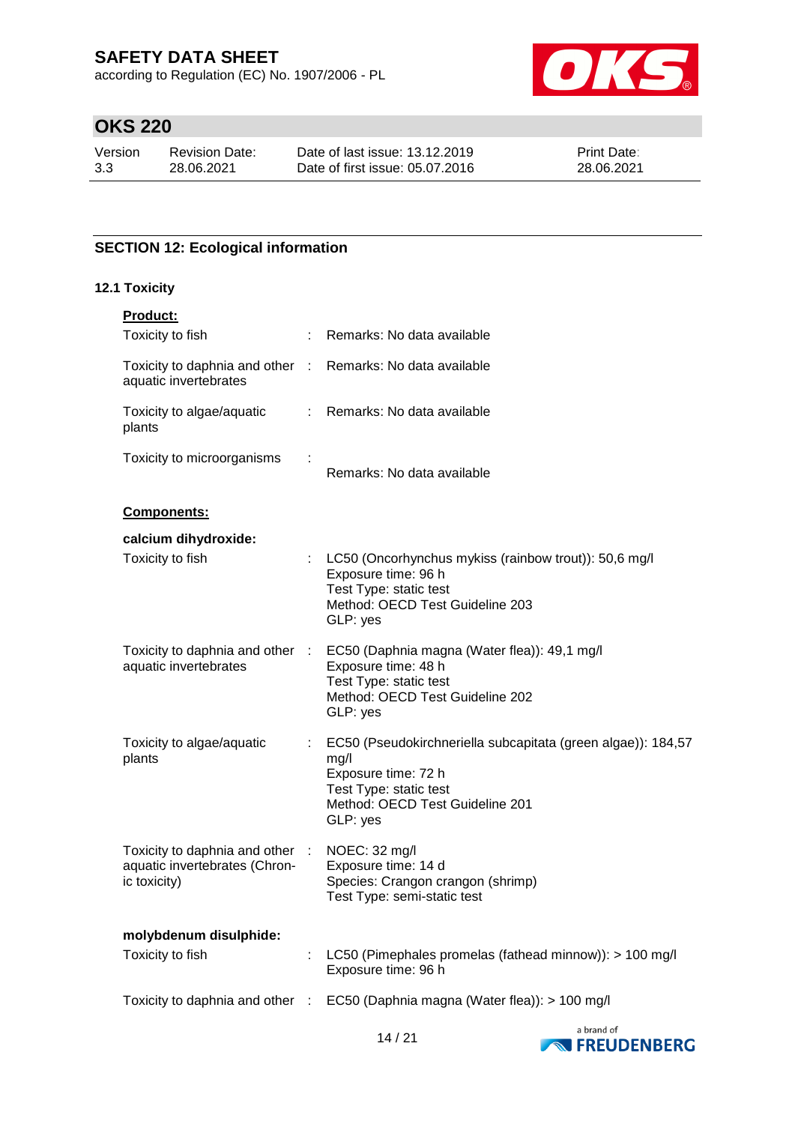according to Regulation (EC) No. 1907/2006 - PL



# **OKS 220**

| Version | <b>Revision Date:</b> | Date of last issue: 13.12.2019  | <b>Print Date:</b> |
|---------|-----------------------|---------------------------------|--------------------|
| 3.3     | 28.06.2021            | Date of first issue: 05.07.2016 | 28.06.2021         |

### **SECTION 12: Ecological information**

### **12.1 Toxicity**

| Product:                                                                            |                                                                                                                                                                      |
|-------------------------------------------------------------------------------------|----------------------------------------------------------------------------------------------------------------------------------------------------------------------|
| Toxicity to fish                                                                    | Remarks: No data available                                                                                                                                           |
| Toxicity to daphnia and other : Remarks: No data available<br>aquatic invertebrates |                                                                                                                                                                      |
| Toxicity to algae/aquatic<br>plants                                                 | : Remarks: No data available                                                                                                                                         |
| Toxicity to microorganisms                                                          | Remarks: No data available                                                                                                                                           |
| Components:                                                                         |                                                                                                                                                                      |
| calcium dihydroxide:                                                                |                                                                                                                                                                      |
| Toxicity to fish                                                                    | LC50 (Oncorhynchus mykiss (rainbow trout)): 50,6 mg/l<br>Exposure time: 96 h<br>Test Type: static test<br>Method: OECD Test Guideline 203<br>GLP: yes                |
| Toxicity to daphnia and other :<br>aquatic invertebrates                            | EC50 (Daphnia magna (Water flea)): 49,1 mg/l<br>Exposure time: 48 h<br>Test Type: static test<br>Method: OECD Test Guideline 202<br>GLP: yes                         |
| Toxicity to algae/aquatic<br>plants                                                 | EC50 (Pseudokirchneriella subcapitata (green algae)): 184,57<br>mg/l<br>Exposure time: 72 h<br>Test Type: static test<br>Method: OECD Test Guideline 201<br>GLP: yes |
| Toxicity to daphnia and other :<br>aquatic invertebrates (Chron-<br>ic toxicity)    | NOEC: 32 mg/l<br>Exposure time: 14 d<br>Species: Crangon crangon (shrimp)<br>Test Type: semi-static test                                                             |
| molybdenum disulphide:                                                              |                                                                                                                                                                      |
| Toxicity to fish                                                                    | LC50 (Pimephales promelas (fathead minnow)): > 100 mg/l<br>Exposure time: 96 h                                                                                       |
|                                                                                     | Toxicity to daphnia and other : EC50 (Daphnia magna (Water flea)): > 100 mg/l                                                                                        |
|                                                                                     |                                                                                                                                                                      |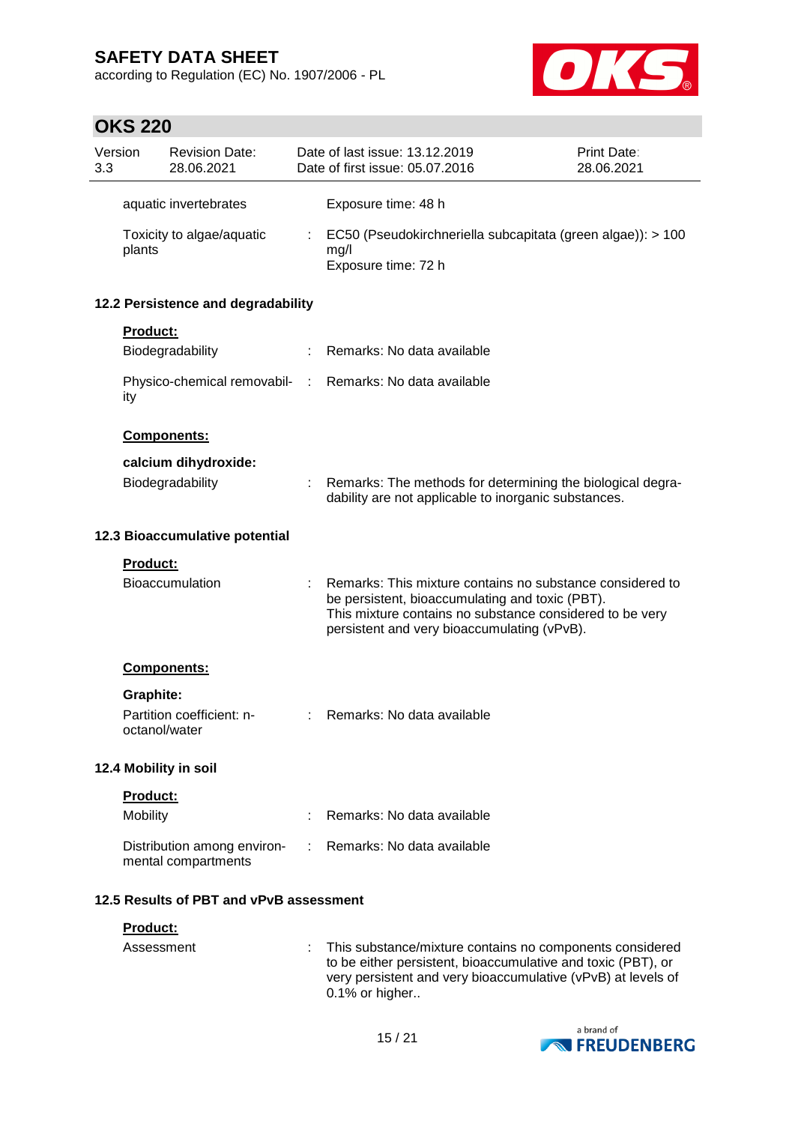according to Regulation (EC) No. 1907/2006 - PL



# **OKS 220**

| Version<br>3.3 |               | <b>Revision Date:</b><br>28.06.2021                |   | Date of last issue: 13.12.2019<br>Date of first issue: 05.07.2016                                                                                                                                                       | <b>Print Date:</b><br>28.06.2021 |
|----------------|---------------|----------------------------------------------------|---|-------------------------------------------------------------------------------------------------------------------------------------------------------------------------------------------------------------------------|----------------------------------|
|                |               | aquatic invertebrates                              |   | Exposure time: 48 h                                                                                                                                                                                                     |                                  |
|                | plants        | Toxicity to algae/aquatic                          | ÷ | EC50 (Pseudokirchneriella subcapitata (green algae)): > 100<br>mg/l<br>Exposure time: 72 h                                                                                                                              |                                  |
|                |               | 12.2 Persistence and degradability                 |   |                                                                                                                                                                                                                         |                                  |
|                | Product:      |                                                    |   |                                                                                                                                                                                                                         |                                  |
|                |               | Biodegradability                                   | ÷ | Remarks: No data available                                                                                                                                                                                              |                                  |
|                | ity           | Physico-chemical removabil- :                      |   | Remarks: No data available                                                                                                                                                                                              |                                  |
|                |               | Components:                                        |   |                                                                                                                                                                                                                         |                                  |
|                |               | calcium dihydroxide:                               |   |                                                                                                                                                                                                                         |                                  |
|                |               | Biodegradability                                   |   | Remarks: The methods for determining the biological degra-<br>dability are not applicable to inorganic substances.                                                                                                      |                                  |
|                |               | 12.3 Bioaccumulative potential                     |   |                                                                                                                                                                                                                         |                                  |
|                | Product:      |                                                    |   |                                                                                                                                                                                                                         |                                  |
|                |               | Bioaccumulation                                    |   | Remarks: This mixture contains no substance considered to<br>be persistent, bioaccumulating and toxic (PBT).<br>This mixture contains no substance considered to be very<br>persistent and very bioaccumulating (vPvB). |                                  |
|                |               | <b>Components:</b>                                 |   |                                                                                                                                                                                                                         |                                  |
|                | Graphite:     |                                                    |   |                                                                                                                                                                                                                         |                                  |
|                | octanol/water | Partition coefficient: n-                          | ÷ | Remarks: No data available                                                                                                                                                                                              |                                  |
|                |               | 12.4 Mobility in soil                              |   |                                                                                                                                                                                                                         |                                  |
|                | Product:      |                                                    |   |                                                                                                                                                                                                                         |                                  |
|                | Mobility      |                                                    |   | Remarks: No data available                                                                                                                                                                                              |                                  |
|                |               | Distribution among environ-<br>mental compartments |   | Remarks: No data available                                                                                                                                                                                              |                                  |
|                |               | 12.5 Results of PBT and vPvB assessment            |   |                                                                                                                                                                                                                         |                                  |
|                | Product:      |                                                    |   |                                                                                                                                                                                                                         |                                  |
|                | Assessment    |                                                    |   | This substance/mixture contains no components considered<br>to be either persistent, bioaccumulative and toxic (PBT), or                                                                                                |                                  |



0.1% or higher..

very persistent and very bioaccumulative (vPvB) at levels of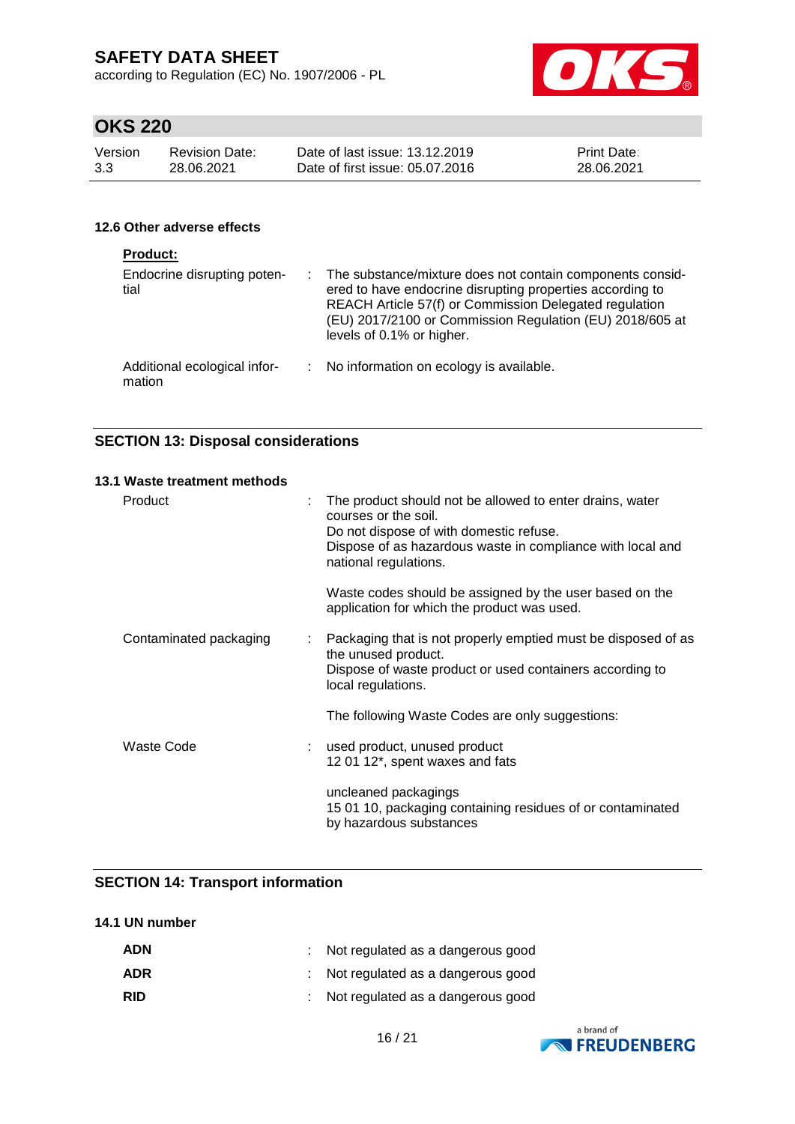according to Regulation (EC) No. 1907/2006 - PL



# **OKS 220**

| Version | Revision Date: | Date of last issue: 13.12.2019  | <b>Print Date:</b> |
|---------|----------------|---------------------------------|--------------------|
| 3.3     | 28.06.2021     | Date of first issue: 05.07.2016 | 28.06.2021         |

### **12.6 Other adverse effects**

| <b>Product:</b>                        |                                                                                                                                                                                                                                                                             |
|----------------------------------------|-----------------------------------------------------------------------------------------------------------------------------------------------------------------------------------------------------------------------------------------------------------------------------|
| Endocrine disrupting poten-<br>tial    | : The substance/mixture does not contain components consid-<br>ered to have endocrine disrupting properties according to<br>REACH Article 57(f) or Commission Delegated regulation<br>(EU) 2017/2100 or Commission Regulation (EU) 2018/605 at<br>levels of 0.1% or higher. |
| Additional ecological infor-<br>mation | : No information on ecology is available.                                                                                                                                                                                                                                   |

### **SECTION 13: Disposal considerations**

#### **13.1 Waste treatment methods**

| Product                | : The product should not be allowed to enter drains, water<br>courses or the soil.<br>Do not dispose of with domestic refuse.<br>Dispose of as hazardous waste in compliance with local and<br>national regulations. |
|------------------------|----------------------------------------------------------------------------------------------------------------------------------------------------------------------------------------------------------------------|
|                        | Waste codes should be assigned by the user based on the<br>application for which the product was used.                                                                                                               |
| Contaminated packaging | : Packaging that is not properly emptied must be disposed of as<br>the unused product.<br>Dispose of waste product or used containers according to<br>local regulations.                                             |
|                        | The following Waste Codes are only suggestions:                                                                                                                                                                      |
| Waste Code             | : used product, unused product<br>12 01 12*, spent waxes and fats                                                                                                                                                    |
|                        | uncleaned packagings<br>15 01 10, packaging containing residues of or contaminated<br>by hazardous substances                                                                                                        |

### **SECTION 14: Transport information**

#### **14.1 UN number**

| <b>ADN</b> | : Not regulated as a dangerous good |
|------------|-------------------------------------|
| <b>ADR</b> | : Not regulated as a dangerous good |
| <b>RID</b> | : Not regulated as a dangerous good |

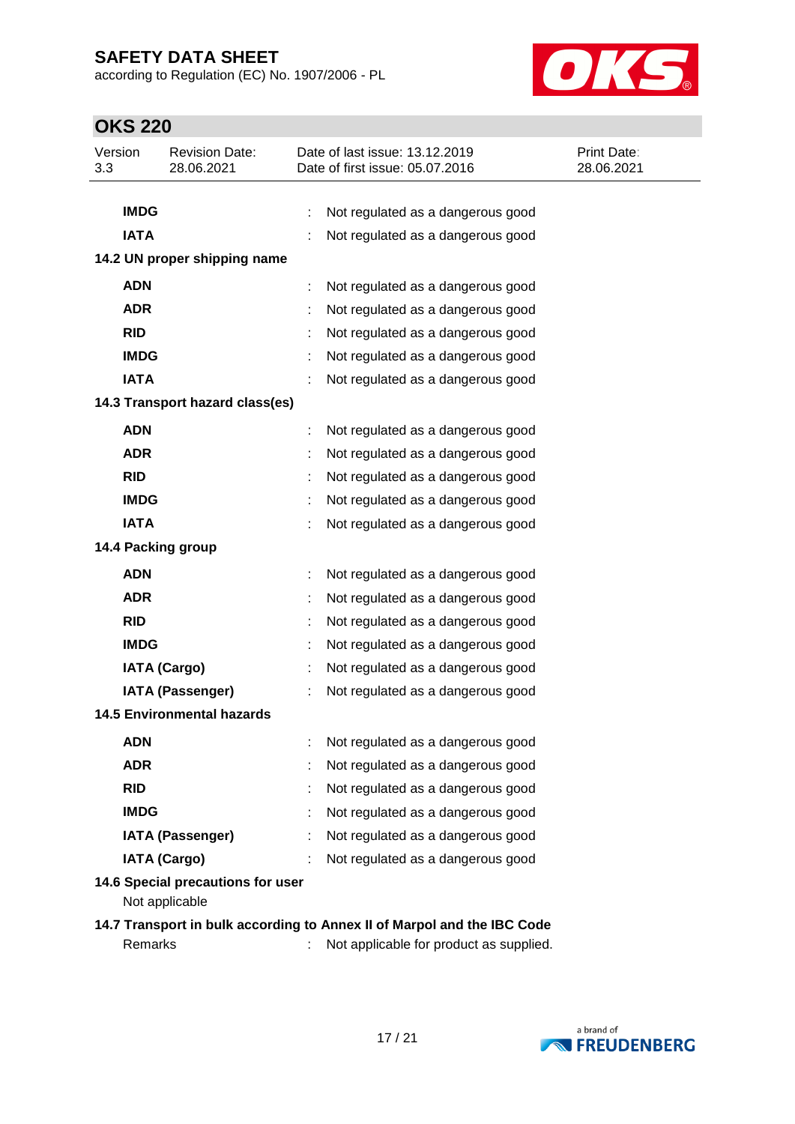according to Regulation (EC) No. 1907/2006 - PL



# **OKS 220**

| Version<br>3.3 | <b>Revision Date:</b><br>28.06.2021                 | Date of last issue: 13.12.2019<br>Date of first issue: 05.07.2016 | Print Date:<br>28.06.2021 |  |  |  |  |
|----------------|-----------------------------------------------------|-------------------------------------------------------------------|---------------------------|--|--|--|--|
|                |                                                     |                                                                   |                           |  |  |  |  |
| <b>IMDG</b>    |                                                     | ÷<br>Not regulated as a dangerous good                            |                           |  |  |  |  |
| <b>IATA</b>    |                                                     | Not regulated as a dangerous good                                 |                           |  |  |  |  |
|                | 14.2 UN proper shipping name                        |                                                                   |                           |  |  |  |  |
| <b>ADN</b>     |                                                     | Not regulated as a dangerous good<br>÷                            |                           |  |  |  |  |
| <b>ADR</b>     |                                                     | Not regulated as a dangerous good                                 |                           |  |  |  |  |
| <b>RID</b>     |                                                     | Not regulated as a dangerous good                                 |                           |  |  |  |  |
| <b>IMDG</b>    |                                                     | Not regulated as a dangerous good                                 |                           |  |  |  |  |
| <b>IATA</b>    |                                                     | Not regulated as a dangerous good                                 |                           |  |  |  |  |
|                | 14.3 Transport hazard class(es)                     |                                                                   |                           |  |  |  |  |
| <b>ADN</b>     |                                                     | Not regulated as a dangerous good                                 |                           |  |  |  |  |
| <b>ADR</b>     |                                                     | Not regulated as a dangerous good                                 |                           |  |  |  |  |
| <b>RID</b>     |                                                     | Not regulated as a dangerous good                                 |                           |  |  |  |  |
| <b>IMDG</b>    |                                                     | Not regulated as a dangerous good                                 |                           |  |  |  |  |
| <b>IATA</b>    |                                                     | Not regulated as a dangerous good                                 |                           |  |  |  |  |
|                | 14.4 Packing group                                  |                                                                   |                           |  |  |  |  |
| <b>ADN</b>     |                                                     | Not regulated as a dangerous good<br>÷                            |                           |  |  |  |  |
| <b>ADR</b>     |                                                     | Not regulated as a dangerous good                                 |                           |  |  |  |  |
| <b>RID</b>     |                                                     | Not regulated as a dangerous good                                 |                           |  |  |  |  |
| <b>IMDG</b>    |                                                     | Not regulated as a dangerous good                                 |                           |  |  |  |  |
|                | <b>IATA (Cargo)</b>                                 | Not regulated as a dangerous good                                 |                           |  |  |  |  |
|                | <b>IATA (Passenger)</b>                             | Not regulated as a dangerous good                                 |                           |  |  |  |  |
|                | <b>14.5 Environmental hazards</b>                   |                                                                   |                           |  |  |  |  |
| <b>ADN</b>     |                                                     | Not regulated as a dangerous good                                 |                           |  |  |  |  |
| <b>ADR</b>     |                                                     | Not regulated as a dangerous good                                 |                           |  |  |  |  |
| <b>RID</b>     |                                                     | Not regulated as a dangerous good                                 |                           |  |  |  |  |
| <b>IMDG</b>    |                                                     | Not regulated as a dangerous good                                 |                           |  |  |  |  |
|                | <b>IATA (Passenger)</b>                             | Not regulated as a dangerous good                                 |                           |  |  |  |  |
|                | <b>IATA (Cargo)</b>                                 | Not regulated as a dangerous good                                 |                           |  |  |  |  |
|                | 14.6 Special precautions for user<br>Not applicable |                                                                   |                           |  |  |  |  |

**14.7 Transport in bulk according to Annex II of Marpol and the IBC Code** Remarks : Not applicable for product as supplied.

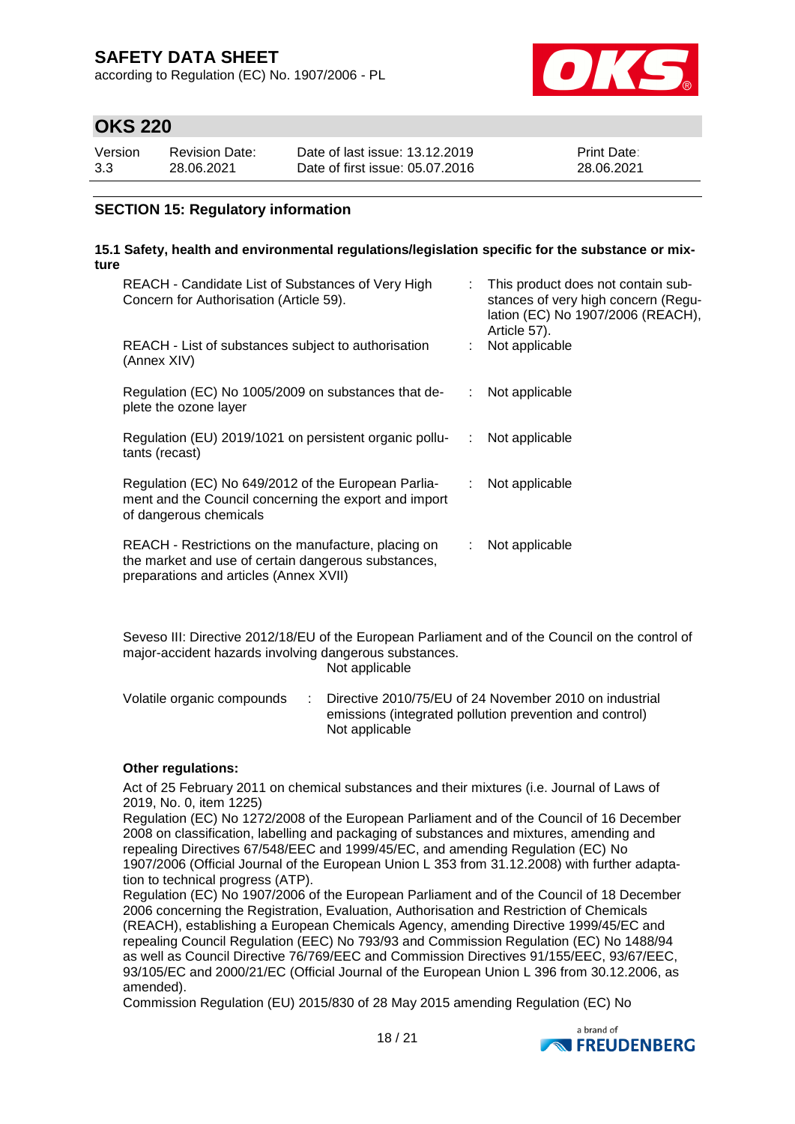according to Regulation (EC) No. 1907/2006 - PL



### **OKS 220**

| Version | Revision Date: | Date of last issue: 13.12.2019  | <b>Print Date:</b> |
|---------|----------------|---------------------------------|--------------------|
| 3.3     | 28.06.2021     | Date of first issue: 05.07.2016 | 28.06.2021         |

### **SECTION 15: Regulatory information**

#### **15.1 Safety, health and environmental regulations/legislation specific for the substance or mixture**

| REACH - Candidate List of Substances of Very High<br>Concern for Authorisation (Article 59).                                                         |    | : This product does not contain sub-<br>stances of very high concern (Regu-<br>lation (EC) No 1907/2006 (REACH),<br>Article 57). |
|------------------------------------------------------------------------------------------------------------------------------------------------------|----|----------------------------------------------------------------------------------------------------------------------------------|
| REACH - List of substances subject to authorisation<br>(Annex XIV)                                                                                   |    | Not applicable                                                                                                                   |
| Regulation (EC) No 1005/2009 on substances that de-<br>plete the ozone layer                                                                         | ÷  | Not applicable                                                                                                                   |
| Regulation (EU) 2019/1021 on persistent organic pollu-<br>tants (recast)                                                                             |    | Not applicable                                                                                                                   |
| Regulation (EC) No 649/2012 of the European Parlia-<br>ment and the Council concerning the export and import<br>of dangerous chemicals               | ÷. | Not applicable                                                                                                                   |
| REACH - Restrictions on the manufacture, placing on<br>the market and use of certain dangerous substances,<br>preparations and articles (Annex XVII) | ÷  | Not applicable                                                                                                                   |

Seveso III: Directive 2012/18/EU of the European Parliament and of the Council on the control of major-accident hazards involving dangerous substances. Not applicable

Volatile organic compounds : Directive 2010/75/EU of 24 November 2010 on industrial emissions (integrated pollution prevention and control) Not applicable

#### **Other regulations:**

Act of 25 February 2011 on chemical substances and their mixtures (i.e. Journal of Laws of 2019, No. 0, item 1225)

Regulation (EC) No 1272/2008 of the European Parliament and of the Council of 16 December 2008 on classification, labelling and packaging of substances and mixtures, amending and repealing Directives 67/548/EEC and 1999/45/EC, and amending Regulation (EC) No 1907/2006 (Official Journal of the European Union L 353 from 31.12.2008) with further adaptation to technical progress (ATP).

Regulation (EC) No 1907/2006 of the European Parliament and of the Council of 18 December 2006 concerning the Registration, Evaluation, Authorisation and Restriction of Chemicals (REACH), establishing a European Chemicals Agency, amending Directive 1999/45/EC and repealing Council Regulation (EEC) No 793/93 and Commission Regulation (EC) No 1488/94 as well as Council Directive 76/769/EEC and Commission Directives 91/155/EEC, 93/67/EEC, 93/105/EC and 2000/21/EC (Official Journal of the European Union L 396 from 30.12.2006, as amended).

Commission Regulation (EU) 2015/830 of 28 May 2015 amending Regulation (EC) No

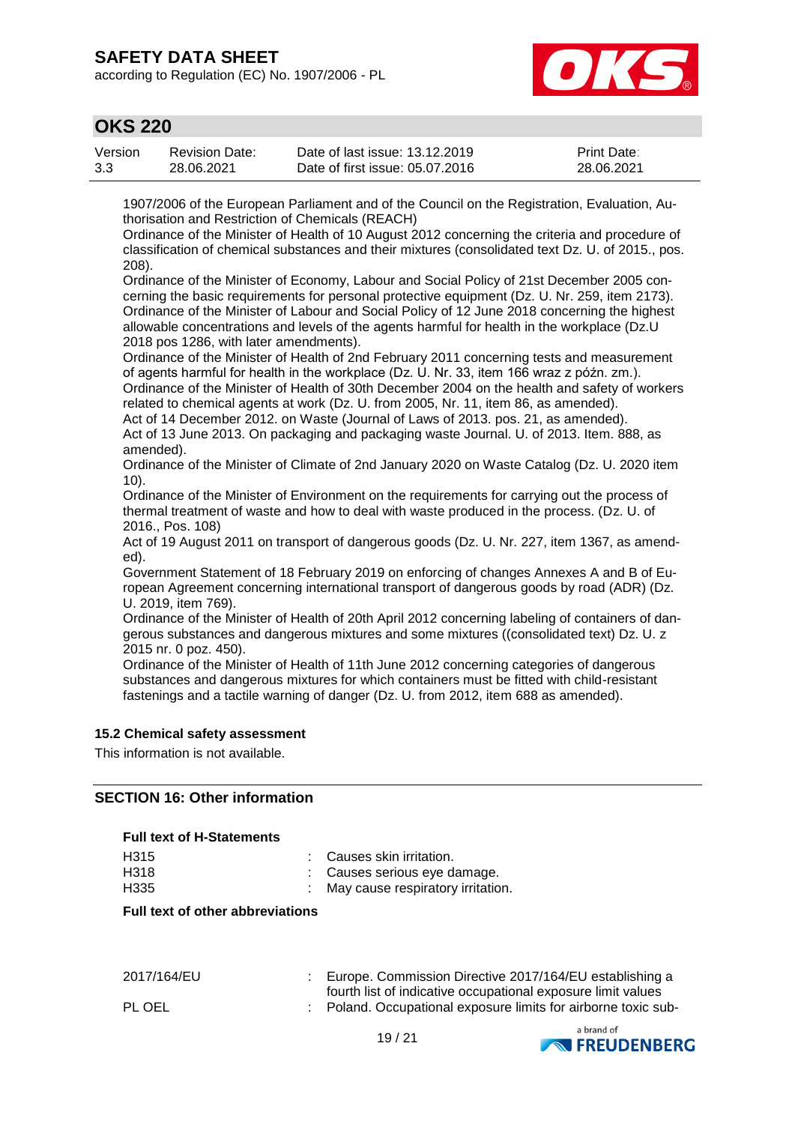according to Regulation (EC) No. 1907/2006 - PL



### **OKS 220**

| Version | <b>Revision Date:</b> | Date of last issue: 13.12.2019  | <b>Print Date:</b> |
|---------|-----------------------|---------------------------------|--------------------|
| 3.3     | 28.06.2021            | Date of first issue: 05.07.2016 | 28.06.2021         |

1907/2006 of the European Parliament and of the Council on the Registration, Evaluation, Authorisation and Restriction of Chemicals (REACH)

Ordinance of the Minister of Health of 10 August 2012 concerning the criteria and procedure of classification of chemical substances and their mixtures (consolidated text Dz. U. of 2015., pos. 208).

Ordinance of the Minister of Economy, Labour and Social Policy of 21st December 2005 concerning the basic requirements for personal protective equipment (Dz. U. Nr. 259, item 2173). Ordinance of the Minister of Labour and Social Policy of 12 June 2018 concerning the highest allowable concentrations and levels of the agents harmful for health in the workplace (Dz.U 2018 pos 1286, with later amendments).

Ordinance of the Minister of Health of 2nd February 2011 concerning tests and measurement of agents harmful for health in the workplace (Dz. U. Nr. 33, item 166 wraz z późn. zm.). Ordinance of the Minister of Health of 30th December 2004 on the health and safety of workers

related to chemical agents at work (Dz. U. from 2005, Nr. 11, item 86, as amended). Act of 14 December 2012. on Waste (Journal of Laws of 2013. pos. 21, as amended).

Act of 13 June 2013. On packaging and packaging waste Journal. U. of 2013. Item. 888, as amended).

Ordinance of the Minister of Climate of 2nd January 2020 on Waste Catalog (Dz. U. 2020 item 10).

Ordinance of the Minister of Environment on the requirements for carrying out the process of thermal treatment of waste and how to deal with waste produced in the process. (Dz. U. of 2016., Pos. 108)

Act of 19 August 2011 on transport of dangerous goods (Dz. U. Nr. 227, item 1367, as amended).

Government Statement of 18 February 2019 on enforcing of changes Annexes A and B of European Agreement concerning international transport of dangerous goods by road (ADR) (Dz. U. 2019, item 769).

Ordinance of the Minister of Health of 20th April 2012 concerning labeling of containers of dangerous substances and dangerous mixtures and some mixtures ((consolidated text) Dz. U. z 2015 nr. 0 poz. 450).

Ordinance of the Minister of Health of 11th June 2012 concerning categories of dangerous substances and dangerous mixtures for which containers must be fitted with child-resistant fastenings and a tactile warning of danger (Dz. U. from 2012, item 688 as amended).

#### **15.2 Chemical safety assessment**

This information is not available.

#### **SECTION 16: Other information**

#### **Full text of H-Statements**

| H <sub>315</sub> | : Causes skin irritation.           |
|------------------|-------------------------------------|
| H318             | : Causes serious eve damage.        |
| H335             | : May cause respiratory irritation. |

#### **Full text of other abbreviations**

| 2017/164/EU | Europe. Commission Directive 2017/164/EU establishing a      |
|-------------|--------------------------------------------------------------|
|             | fourth list of indicative occupational exposure limit values |
| PL OEL      | Poland. Occupational exposure limits for airborne toxic sub- |

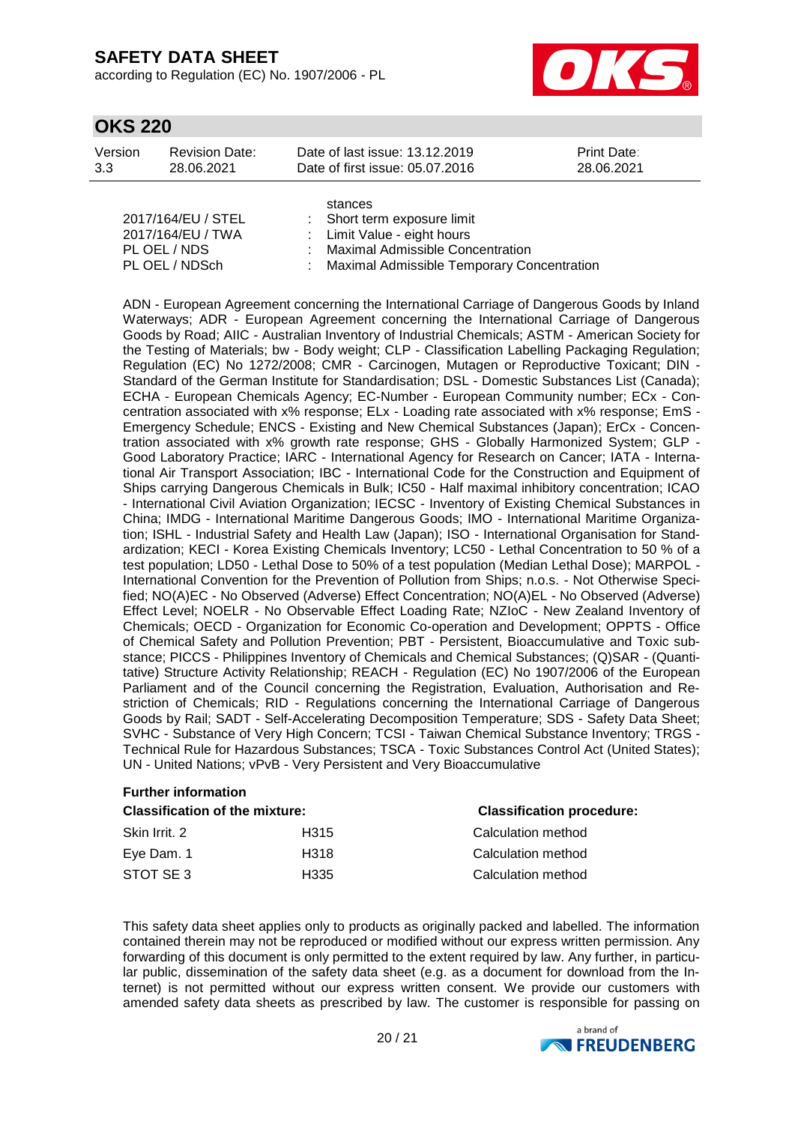according to Regulation (EC) No. 1907/2006 - PL



### **OKS 220**

| Version | <b>Revision Date:</b> | Date of last issue: 13.12.2019  | <b>Print Date:</b> |
|---------|-----------------------|---------------------------------|--------------------|
| 3.3     | 28.06.2021            | Date of first issue: 05.07.2016 | 28.06.2021         |
|         |                       |                                 |                    |

|                    | stances                                      |
|--------------------|----------------------------------------------|
| 2017/164/EU / STEL | : Short term exposure limit                  |
| 2017/164/EU / TWA  | : Limit Value - eight hours                  |
| PL OEL / NDS       | : Maximal Admissible Concentration           |
| PL OEL / NDSch     | : Maximal Admissible Temporary Concentration |
|                    |                                              |

ADN - European Agreement concerning the International Carriage of Dangerous Goods by Inland Waterways; ADR - European Agreement concerning the International Carriage of Dangerous Goods by Road; AIIC - Australian Inventory of Industrial Chemicals; ASTM - American Society for the Testing of Materials; bw - Body weight; CLP - Classification Labelling Packaging Regulation; Regulation (EC) No 1272/2008; CMR - Carcinogen, Mutagen or Reproductive Toxicant; DIN - Standard of the German Institute for Standardisation; DSL - Domestic Substances List (Canada); ECHA - European Chemicals Agency; EC-Number - European Community number; ECx - Concentration associated with x% response; ELx - Loading rate associated with x% response; EmS - Emergency Schedule; ENCS - Existing and New Chemical Substances (Japan); ErCx - Concentration associated with x% growth rate response; GHS - Globally Harmonized System; GLP - Good Laboratory Practice; IARC - International Agency for Research on Cancer; IATA - International Air Transport Association; IBC - International Code for the Construction and Equipment of Ships carrying Dangerous Chemicals in Bulk; IC50 - Half maximal inhibitory concentration; ICAO - International Civil Aviation Organization; IECSC - Inventory of Existing Chemical Substances in China; IMDG - International Maritime Dangerous Goods; IMO - International Maritime Organization; ISHL - Industrial Safety and Health Law (Japan); ISO - International Organisation for Standardization; KECI - Korea Existing Chemicals Inventory; LC50 - Lethal Concentration to 50 % of a test population; LD50 - Lethal Dose to 50% of a test population (Median Lethal Dose); MARPOL - International Convention for the Prevention of Pollution from Ships; n.o.s. - Not Otherwise Specified; NO(A)EC - No Observed (Adverse) Effect Concentration; NO(A)EL - No Observed (Adverse) Effect Level; NOELR - No Observable Effect Loading Rate; NZIoC - New Zealand Inventory of Chemicals; OECD - Organization for Economic Co-operation and Development; OPPTS - Office of Chemical Safety and Pollution Prevention; PBT - Persistent, Bioaccumulative and Toxic substance; PICCS - Philippines Inventory of Chemicals and Chemical Substances; (Q)SAR - (Quantitative) Structure Activity Relationship; REACH - Regulation (EC) No 1907/2006 of the European Parliament and of the Council concerning the Registration, Evaluation, Authorisation and Restriction of Chemicals; RID - Regulations concerning the International Carriage of Dangerous Goods by Rail; SADT - Self-Accelerating Decomposition Temperature; SDS - Safety Data Sheet; SVHC - Substance of Very High Concern; TCSI - Taiwan Chemical Substance Inventory; TRGS - Technical Rule for Hazardous Substances; TSCA - Toxic Substances Control Act (United States); UN - United Nations; vPvB - Very Persistent and Very Bioaccumulative

| <b>Further information</b>                                                |                  |                    |  |  |  |
|---------------------------------------------------------------------------|------------------|--------------------|--|--|--|
| <b>Classification procedure:</b><br><b>Classification of the mixture:</b> |                  |                    |  |  |  |
| Skin Irrit, 2                                                             | H <sub>315</sub> | Calculation method |  |  |  |
| Eye Dam. 1                                                                | H318             | Calculation method |  |  |  |
| STOT SE3                                                                  | H335             | Calculation method |  |  |  |

This safety data sheet applies only to products as originally packed and labelled. The information contained therein may not be reproduced or modified without our express written permission. Any forwarding of this document is only permitted to the extent required by law. Any further, in particular public, dissemination of the safety data sheet (e.g. as a document for download from the Internet) is not permitted without our express written consent. We provide our customers with amended safety data sheets as prescribed by law. The customer is responsible for passing on